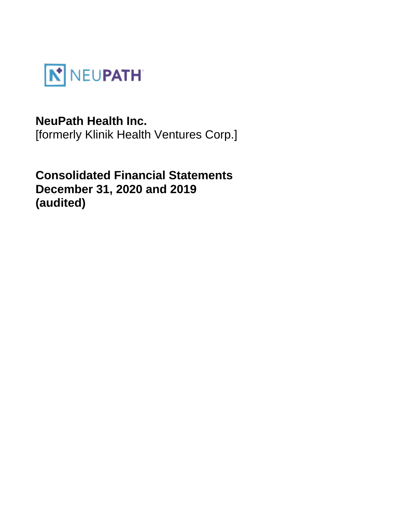

# **NeuPath Health Inc.**

[formerly Klinik Health Ventures Corp.]

**Consolidated Financial Statements December 31, 2020 and 2019 (audited)**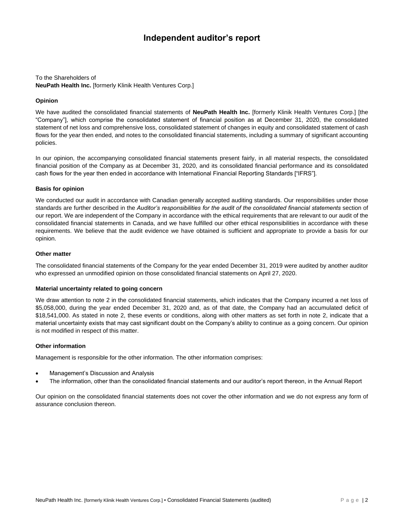## **Independent auditor's report**

#### To the Shareholders of

**NeuPath Health Inc.** [formerly Klinik Health Ventures Corp.]

### **Opinion**

We have audited the consolidated financial statements of **NeuPath Health Inc.** [formerly Klinik Health Ventures Corp.] [the "Company"], which comprise the consolidated statement of financial position as at December 31, 2020, the consolidated statement of net loss and comprehensive loss, consolidated statement of changes in equity and consolidated statement of cash flows for the year then ended, and notes to the consolidated financial statements, including a summary of significant accounting policies.

In our opinion, the accompanying consolidated financial statements present fairly, in all material respects, the consolidated financial position of the Company as at December 31, 2020, and its consolidated financial performance and its consolidated cash flows for the year then ended in accordance with International Financial Reporting Standards ["IFRS"].

### **Basis for opinion**

We conducted our audit in accordance with Canadian generally accepted auditing standards. Our responsibilities under those standards are further described in the *Auditor's responsibilities for the audit of the consolidated financial statements* section of our report. We are independent of the Company in accordance with the ethical requirements that are relevant to our audit of the consolidated financial statements in Canada, and we have fulfilled our other ethical responsibilities in accordance with these requirements. We believe that the audit evidence we have obtained is sufficient and appropriate to provide a basis for our opinion.

#### **Other matter**

The consolidated financial statements of the Company for the year ended December 31, 2019 were audited by another auditor who expressed an unmodified opinion on those consolidated financial statements on April 27, 2020.

#### **Material uncertainty related to going concern**

We draw attention to note 2 in the consolidated financial statements, which indicates that the Company incurred a net loss of \$5,058,000, during the year ended December 31, 2020 and, as of that date, the Company had an accumulated deficit of \$18,541,000. As stated in note 2, these events or conditions, along with other matters as set forth in note 2, indicate that a material uncertainty exists that may cast significant doubt on the Company's ability to continue as a going concern. Our opinion is not modified in respect of this matter.

#### **Other information**

Management is responsible for the other information. The other information comprises:

- Management's Discussion and Analysis
- The information, other than the consolidated financial statements and our auditor's report thereon, in the Annual Report

Our opinion on the consolidated financial statements does not cover the other information and we do not express any form of assurance conclusion thereon.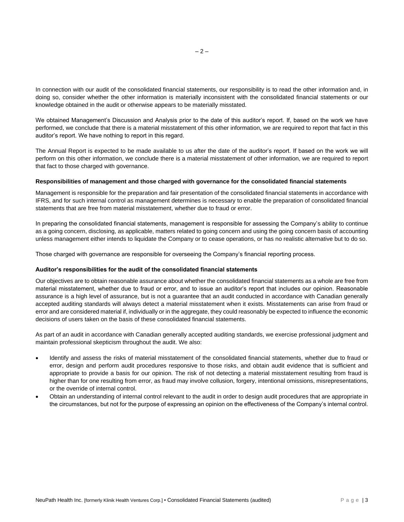In connection with our audit of the consolidated financial statements, our responsibility is to read the other information and, in doing so, consider whether the other information is materially inconsistent with the consolidated financial statements or our knowledge obtained in the audit or otherwise appears to be materially misstated.

We obtained Management's Discussion and Analysis prior to the date of this auditor's report. If, based on the work we have performed, we conclude that there is a material misstatement of this other information, we are required to report that fact in this auditor's report. We have nothing to report in this regard.

The Annual Report is expected to be made available to us after the date of the auditor's report. If based on the work we will perform on this other information, we conclude there is a material misstatement of other information, we are required to report that fact to those charged with governance.

### **Responsibilities of management and those charged with governance for the consolidated financial statements**

Management is responsible for the preparation and fair presentation of the consolidated financial statements in accordance with IFRS, and for such internal control as management determines is necessary to enable the preparation of consolidated financial statements that are free from material misstatement, whether due to fraud or error.

In preparing the consolidated financial statements, management is responsible for assessing the Company's ability to continue as a going concern, disclosing, as applicable, matters related to going concern and using the going concern basis of accounting unless management either intends to liquidate the Company or to cease operations, or has no realistic alternative but to do so.

Those charged with governance are responsible for overseeing the Company's financial reporting process.

#### **Auditor's responsibilities for the audit of the consolidated financial statements**

Our objectives are to obtain reasonable assurance about whether the consolidated financial statements as a whole are free from material misstatement, whether due to fraud or error, and to issue an auditor's report that includes our opinion. Reasonable assurance is a high level of assurance, but is not a guarantee that an audit conducted in accordance with Canadian generally accepted auditing standards will always detect a material misstatement when it exists. Misstatements can arise from fraud or error and are considered material if, individually or in the aggregate, they could reasonably be expected to influence the economic decisions of users taken on the basis of these consolidated financial statements.

As part of an audit in accordance with Canadian generally accepted auditing standards, we exercise professional judgment and maintain professional skepticism throughout the audit. We also:

- Identify and assess the risks of material misstatement of the consolidated financial statements, whether due to fraud or error, design and perform audit procedures responsive to those risks, and obtain audit evidence that is sufficient and appropriate to provide a basis for our opinion. The risk of not detecting a material misstatement resulting from fraud is higher than for one resulting from error, as fraud may involve collusion, forgery, intentional omissions, misrepresentations, or the override of internal control.
- Obtain an understanding of internal control relevant to the audit in order to design audit procedures that are appropriate in the circumstances, but not for the purpose of expressing an opinion on the effectiveness of the Company's internal control.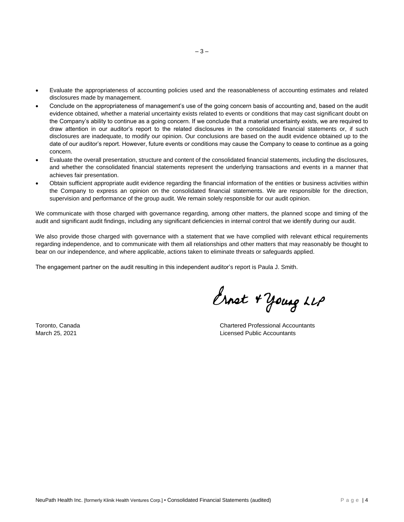- Evaluate the appropriateness of accounting policies used and the reasonableness of accounting estimates and related disclosures made by management.
- Conclude on the appropriateness of management's use of the going concern basis of accounting and, based on the audit evidence obtained, whether a material uncertainty exists related to events or conditions that may cast significant doubt on the Company's ability to continue as a going concern. If we conclude that a material uncertainty exists, we are required to draw attention in our auditor's report to the related disclosures in the consolidated financial statements or, if such disclosures are inadequate, to modify our opinion. Our conclusions are based on the audit evidence obtained up to the date of our auditor's report. However, future events or conditions may cause the Company to cease to continue as a going concern.
- Evaluate the overall presentation, structure and content of the consolidated financial statements, including the disclosures, and whether the consolidated financial statements represent the underlying transactions and events in a manner that achieves fair presentation.
- Obtain sufficient appropriate audit evidence regarding the financial information of the entities or business activities within the Company to express an opinion on the consolidated financial statements. We are responsible for the direction, supervision and performance of the group audit. We remain solely responsible for our audit opinion.

We communicate with those charged with governance regarding, among other matters, the planned scope and timing of the audit and significant audit findings, including any significant deficiencies in internal control that we identify during our audit.

We also provide those charged with governance with a statement that we have complied with relevant ethical requirements regarding independence, and to communicate with them all relationships and other matters that may reasonably be thought to bear on our independence, and where applicable, actions taken to eliminate threats or safeguards applied.

The engagement partner on the audit resulting in this independent auditor's report is Paula J. Smith.

Ernet + young LLP

Toronto, Canada Chartered Professional Accountants March 25, 2021 Licensed Public Accountants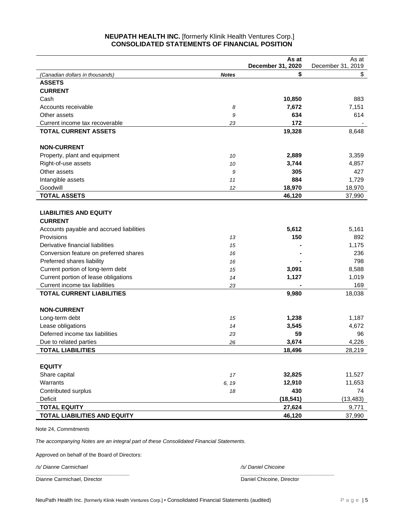### **NEUPATH HEALTH INC.** [formerly Klinik Health Ventures Corp.] **CONSOLIDATED STATEMENTS OF FINANCIAL POSITION**

|                                          |              | As at             | As at             |
|------------------------------------------|--------------|-------------------|-------------------|
|                                          |              | December 31, 2020 | December 31, 2019 |
| (Canadian dollars in thousands)          | <b>Notes</b> | \$                | \$                |
| <b>ASSETS</b>                            |              |                   |                   |
| <b>CURRENT</b>                           |              |                   |                   |
| Cash                                     |              | 10,850            | 883               |
| Accounts receivable                      | 8            | 7,672             | 7,151             |
| Other assets                             | 9            | 634               | 614               |
| Current income tax recoverable           | 23           | 172               |                   |
| <b>TOTAL CURRENT ASSETS</b>              |              | 19,328            | 8,648             |
| <b>NON-CURRENT</b>                       |              |                   |                   |
| Property, plant and equipment            | 10           | 2,889             | 3,359             |
| Right-of-use assets                      | 10           | 3,744             | 4,857             |
| Other assets                             | 9            | 305               | 427               |
| Intangible assets                        | 11           | 884               | 1,729             |
| Goodwill                                 | 12           | 18,970            | 18,970            |
| <b>TOTAL ASSETS</b>                      |              | 46,120            | 37,990            |
|                                          |              |                   |                   |
| <b>LIABILITIES AND EQUITY</b>            |              |                   |                   |
| <b>CURRENT</b>                           |              |                   |                   |
| Accounts payable and accrued liabilities |              | 5,612             | 5,161             |
| Provisions                               | 13           | 150               | 892               |
| Derivative financial liabilities         | 15           |                   | 1,175             |
| Conversion feature on preferred shares   | 16           |                   | 236               |
| Preferred shares liability               | 16           |                   | 798               |
| Current portion of long-term debt        | 15           | 3,091             | 8,588             |
| Current portion of lease obligations     | 14           | 1,127             | 1,019             |
| Current income tax liabilities           | 23           |                   | 169               |
| <b>TOTAL CURRENT LIABILITIES</b>         |              | 9,980             | 18,038            |
| <b>NON-CURRENT</b>                       |              |                   |                   |
| Long-term debt                           | 15           | 1,238             | 1,187             |
| Lease obligations                        | 14           | 3,545             | 4,672             |
| Deferred income tax liabilities          | 23           | 59                | 96                |
| Due to related parties                   | 26           | 3,674             | 4,226             |
| <b>TOTAL LIABILITIES</b>                 |              | 18,496            | 28,219            |
|                                          |              |                   |                   |
| <b>EQUITY</b>                            |              |                   |                   |
| Share capital                            | 17           | 32,825            | 11,527            |
| Warrants                                 | 6, 19        | 12,910            | 11,653            |
| Contributed surplus                      | 18           | 430               | 74                |
| Deficit                                  |              | (18, 541)         | (13, 483)         |
| <b>TOTAL EQUITY</b>                      |              | 27,624            | 9,771             |
| <b>TOTAL LIABILITIES AND EQUITY</b>      |              | 46,120            | 37,990            |

Note 24, *Commitments*

*The accompanying Notes are an integral part of these Consolidated Financial Statements.*

Approved on behalf of the Board of Directors:

*\_\_\_\_\_\_\_\_\_\_\_\_\_\_\_\_\_\_\_\_\_\_\_\_\_\_\_\_\_\_\_\_*

*/s/ Dianne Carmichael*

Dianne Carmichael, Director

*/s/ Daniel Chicoine*

*\_\_\_\_\_\_\_\_\_\_\_\_\_\_\_\_\_\_\_\_\_\_\_\_\_\_\_\_\_\_\_\_* Daniel Chicoine, Director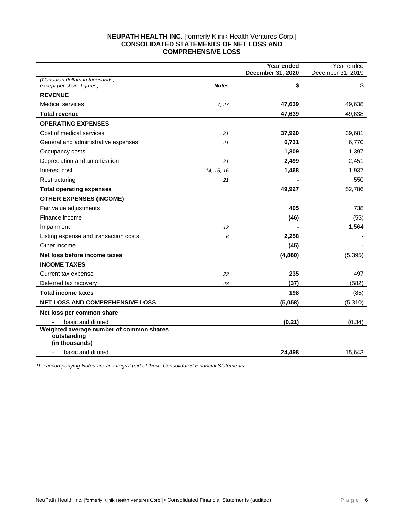### **NEUPATH HEALTH INC.** [formerly Klinik Health Ventures Corp.] **CONSOLIDATED STATEMENTS OF NET LOSS AND COMPREHENSIVE LOSS**

|                                                                           |              | Year ended<br>December 31, 2020 | Year ended<br>December 31, 2019 |
|---------------------------------------------------------------------------|--------------|---------------------------------|---------------------------------|
| (Canadian dollars in thousands,                                           |              |                                 |                                 |
| except per share figures)                                                 | <b>Notes</b> | \$                              | \$                              |
| <b>REVENUE</b>                                                            |              |                                 |                                 |
| Medical services                                                          | 7, 27        | 47,639                          | 49,638                          |
| <b>Total revenue</b>                                                      |              | 47,639                          | 49,638                          |
| <b>OPERATING EXPENSES</b>                                                 |              |                                 |                                 |
| Cost of medical services                                                  | 21           | 37,920                          | 39,681                          |
| General and administrative expenses                                       | 21           | 6,731                           | 6,770                           |
| Occupancy costs                                                           |              | 1,309                           | 1,397                           |
| Depreciation and amortization                                             | 21           | 2,499                           | 2,451                           |
| Interest cost                                                             | 14, 15, 16   | 1,468                           | 1,937                           |
| Restructuring                                                             | 21           |                                 | 550                             |
| <b>Total operating expenses</b>                                           |              | 49,927                          | 52,786                          |
| <b>OTHER EXPENSES (INCOME)</b>                                            |              |                                 |                                 |
| Fair value adjustments                                                    |              | 405                             | 738                             |
| Finance income                                                            |              | (46)                            | (55)                            |
| Impairment                                                                | 12           |                                 | 1,564                           |
| Listing expense and transaction costs                                     | 6            | 2,258                           |                                 |
| Other income                                                              |              | (45)                            |                                 |
| Net loss before income taxes                                              |              | (4,860)                         | (5, 395)                        |
| <b>INCOME TAXES</b>                                                       |              |                                 |                                 |
| Current tax expense                                                       | 23           | 235                             | 497                             |
| Deferred tax recovery                                                     | 23           | (37)                            | (582)                           |
| <b>Total income taxes</b>                                                 |              | 198                             | (85)                            |
| NET LOSS AND COMPREHENSIVE LOSS                                           |              | (5,058)                         | (5,310)                         |
| Net loss per common share                                                 |              |                                 |                                 |
| basic and diluted                                                         |              | (0.21)                          | (0.34)                          |
| Weighted average number of common shares<br>outstanding<br>(in thousands) |              |                                 |                                 |
| basic and diluted                                                         |              | 24,498                          | 15,643                          |

*The accompanying Notes are an integral part of these Consolidated Financial Statements.*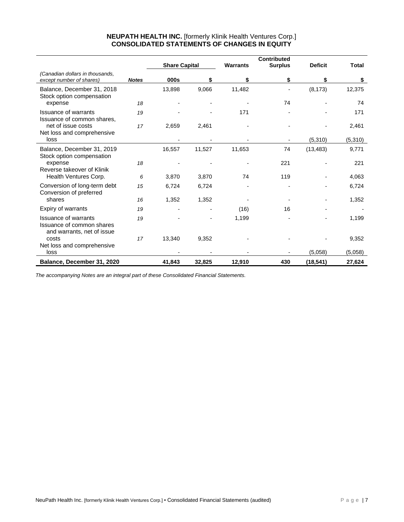### **NEUPATH HEALTH INC.** [formerly Klinik Health Ventures Corp.] **CONSOLIDATED STATEMENTS OF CHANGES IN EQUITY**

|                                                                                        |              |                      |        |                 | <b>Contributed</b> |                |              |
|----------------------------------------------------------------------------------------|--------------|----------------------|--------|-----------------|--------------------|----------------|--------------|
|                                                                                        |              | <b>Share Capital</b> |        | <b>Warrants</b> | <b>Surplus</b>     | <b>Deficit</b> | <b>Total</b> |
| (Canadian dollars in thousands,<br>except number of shares)                            | <b>Notes</b> | 000s                 | \$     | \$              | \$                 | \$             | \$           |
| Balance, December 31, 2018<br>Stock option compensation                                |              | 13,898               | 9,066  | 11,482          |                    | (8, 173)       | 12,375       |
| expense                                                                                | 18           |                      |        |                 | 74                 |                | 74           |
| <b>Issuance of warrants</b><br>Issuance of common shares,                              | 19           |                      |        | 171             |                    |                | 171          |
| net of issue costs<br>Net loss and comprehensive                                       | 17           | 2,659                | 2,461  |                 |                    |                | 2,461        |
| loss                                                                                   |              |                      |        |                 |                    | (5,310)        | (5,310)      |
| Balance, December 31, 2019<br>Stock option compensation                                |              | 16,557               | 11,527 | 11,653          | 74                 | (13, 483)      | 9,771        |
| expense<br>Reverse takeover of Klinik                                                  | 18           |                      |        |                 | 221                |                | 221          |
| Health Ventures Corp.                                                                  | 6            | 3,870                | 3,870  | 74              | 119                |                | 4,063        |
| Conversion of long-term debt<br>Conversion of preferred                                | 15           | 6,724                | 6,724  |                 |                    |                | 6,724        |
| shares                                                                                 | 16           | 1,352                | 1,352  |                 |                    |                | 1,352        |
| Expiry of warrants                                                                     | 19           |                      |        | (16)            | 16                 |                |              |
| <b>Issuance of warrants</b><br>Issuance of common shares<br>and warrants, net of issue | 19           |                      |        | 1,199           |                    |                | 1,199        |
| costs<br>Net loss and comprehensive                                                    | 17           | 13,340               | 9,352  |                 |                    |                | 9,352        |
| loss                                                                                   |              |                      |        |                 |                    | (5,058)        | (5,058)      |
| Balance, December 31, 2020                                                             |              | 41,843               | 32,825 | 12,910          | 430                | (18, 541)      | 27,624       |

*The accompanying Notes are an integral part of these Consolidated Financial Statements.*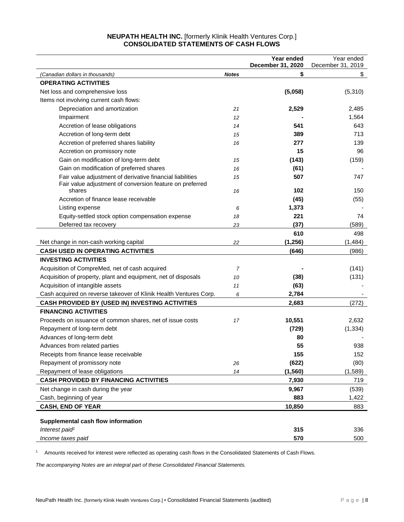### **NEUPATH HEALTH INC.** [formerly Klinik Health Ventures Corp.] **CONSOLIDATED STATEMENTS OF CASH FLOWS**

|                                                                    |              | Year ended        | Year ended        |
|--------------------------------------------------------------------|--------------|-------------------|-------------------|
|                                                                    |              | December 31, 2020 | December 31, 2019 |
| (Canadian dollars in thousands)                                    | <b>Notes</b> | \$                | \$                |
| <b>OPERATING ACTIVITIES</b>                                        |              |                   |                   |
| Net loss and comprehensive loss                                    |              | (5,058)           | (5,310)           |
| Items not involving current cash flows:                            |              |                   |                   |
| Depreciation and amortization                                      | 21           | 2,529             | 2,485             |
| Impairment                                                         | 12           |                   | 1,564             |
| Accretion of lease obligations                                     | 14           | 541               | 643               |
| Accretion of long-term debt                                        | 15           | 389               | 713               |
| Accretion of preferred shares liability                            | 16           | 277               | 139               |
| Accretion on promissory note                                       |              | 15                | 96                |
| Gain on modification of long-term debt                             | 15           | (143)             | (159)             |
| Gain on modification of preferred shares                           | 16           | (61)              |                   |
| Fair value adjustment of derivative financial liabilities          | 15           | 507               | 747               |
| Fair value adjustment of conversion feature on preferred<br>shares |              | 102               | 150               |
| Accretion of finance lease receivable                              | 16           |                   |                   |
|                                                                    |              | (45)              | (55)              |
| Listing expense                                                    | 6            | 1,373             |                   |
| Equity-settled stock option compensation expense                   | 18           | 221               | 74                |
| Deferred tax recovery                                              | 23           | (37)              | (589)             |
|                                                                    |              | 610               | 498               |
| Net change in non-cash working capital                             | 22           | (1, 256)          | (1, 484)          |
| <b>CASH USED IN OPERATING ACTIVITIES</b>                           |              | (646)             | (986)             |
| <b>INVESTING ACTIVITIES</b>                                        |              |                   |                   |
| Acquisition of CompreMed, net of cash acquired                     | 7            |                   | (141)             |
| Acquisition of property, plant and equipment, net of disposals     | 10           | (38)              | (131)             |
| Acquisition of intangible assets                                   | 11           | (63)              |                   |
| Cash acquired on reverse takeover of Klinik Health Ventures Corp.  | 6            | 2,784             |                   |
| CASH PROVIDED BY (USED IN) INVESTING ACTIVITIES                    |              | 2,683             | (272)             |
| <b>FINANCING ACTIVITIES</b>                                        |              |                   |                   |
| Proceeds on issuance of common shares, net of issue costs          | 17           | 10,551            | 2,632             |
| Repayment of long-term debt                                        |              | (729)             | (1, 334)          |
| Advances of long-term debt                                         |              | 80                |                   |
| Advances from related parties                                      |              | 55                | 938               |
| Receipts from finance lease receivable                             |              | 155               | 152               |
| Repayment of promissory note                                       | 26           | (622)             | (80)              |
| Repayment of lease obligations                                     | 14           | (1,560)           | (1,589)           |
| <b>CASH PROVIDED BY FINANCING ACTIVITIES</b>                       |              | 7,930             | 719               |
| Net change in cash during the year                                 |              | 9,967             | (539)             |
| Cash, beginning of year                                            |              | 883               | 1,422             |
| <b>CASH, END OF YEAR</b>                                           |              | 10,850            | 883               |
| Supplemental cash flow information                                 |              |                   |                   |
| Interest paid <sup>1</sup>                                         |              | 315               | 336               |
| Income taxes paid                                                  |              | 570               | 500               |

<sup>1.</sup> Amounts received for interest were reflected as operating cash flows in the Consolidated Statements of Cash Flows.

*The accompanying Notes are an integral part of these Consolidated Financial Statements.*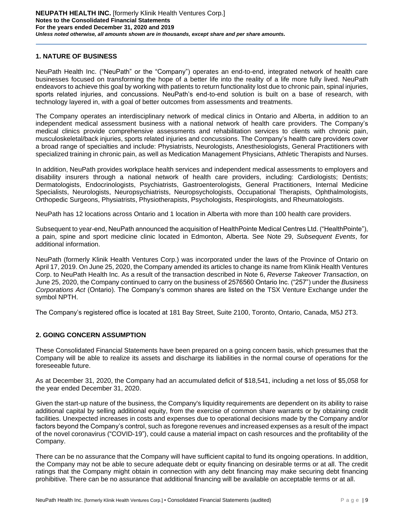### **1. NATURE OF BUSINESS**

NeuPath Health Inc. ("NeuPath" or the "Company") operates an end-to-end, integrated network of health care businesses focused on transforming the hope of a better life into the reality of a life more fully lived. NeuPath endeavors to achieve this goal by working with patients to return functionality lost due to chronic pain, spinal injuries, sports related injuries, and concussions. NeuPath's end-to-end solution is built on a base of research, with technology layered in, with a goal of better outcomes from assessments and treatments.

The Company operates an interdisciplinary network of medical clinics in Ontario and Alberta, in addition to an independent medical assessment business with a national network of health care providers. The Company's medical clinics provide comprehensive assessments and rehabilitation services to clients with chronic pain, musculoskeletal/back injuries, sports related injuries and concussions. The Company's health care providers cover a broad range of specialties and include: Physiatrists, Neurologists, Anesthesiologists, General Practitioners with specialized training in chronic pain, as well as Medication Management Physicians, Athletic Therapists and Nurses.

In addition, NeuPath provides workplace health services and independent medical assessments to employers and disability insurers through a national network of health care providers, including: Cardiologists; Dentists; Dermatologists, Endocrinologists, Psychiatrists, Gastroenterologists, General Practitioners, Internal Medicine Specialists, Neurologists, Neuropsychiatrists, Neuropsychologists, Occupational Therapists, Ophthalmologists, Orthopedic Surgeons, Physiatrists, Physiotherapists, Psychologists, Respirologists, and Rheumatologists.

NeuPath has 12 locations across Ontario and 1 location in Alberta with more than 100 health care providers.

Subsequent to year-end, NeuPath announced the acquisition of HealthPointe Medical Centres Ltd. ("HealthPointe"), a pain, spine and sport medicine clinic located in Edmonton, Alberta. See Note 29, *Subsequent Events*, for additional information.

NeuPath (formerly Klinik Health Ventures Corp.) was incorporated under the laws of the Province of Ontario on April 17, 2019. On June 25, 2020, the Company amended its articles to change its name from Klinik Health Ventures Corp. to NeuPath Health Inc. As a result of the transaction described in Note 6, *Reverse Takeover Transaction*, on June 25, 2020, the Company continued to carry on the business of 2576560 Ontario Inc. ("257") under the *Business Corporations Act* (Ontario). The Company's common shares are listed on the TSX Venture Exchange under the symbol NPTH.

The Company's registered office is located at 181 Bay Street, Suite 2100, Toronto, Ontario, Canada, M5J 2T3.

### **2. GOING CONCERN ASSUMPTION**

These Consolidated Financial Statements have been prepared on a going concern basis, which presumes that the Company will be able to realize its assets and discharge its liabilities in the normal course of operations for the foreseeable future.

As at December 31, 2020, the Company had an accumulated deficit of \$18,541, including a net loss of \$5,058 for the year ended December 31, 2020.

Given the start-up nature of the business, the Company's liquidity requirements are dependent on its ability to raise additional capital by selling additional equity, from the exercise of common share warrants or by obtaining credit facilities. Unexpected increases in costs and expenses due to operational decisions made by the Company and/or factors beyond the Company's control, such as foregone revenues and increased expenses as a result of the impact of the novel coronavirus ("COVID-19"), could cause a material impact on cash resources and the profitability of the Company.

There can be no assurance that the Company will have sufficient capital to fund its ongoing operations. In addition, the Company may not be able to secure adequate debt or equity financing on desirable terms or at all. The credit ratings that the Company might obtain in connection with any debt financing may make securing debt financing prohibitive. There can be no assurance that additional financing will be available on acceptable terms or at all.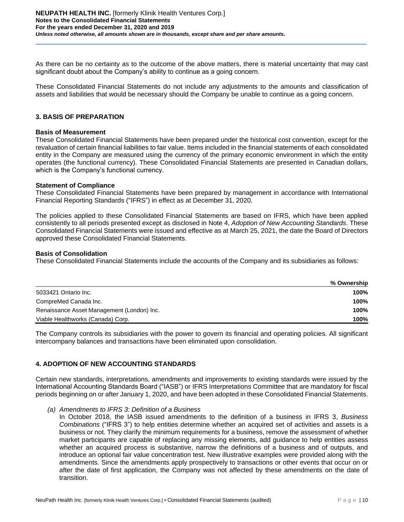As there can be no certainty as to the outcome of the above matters, there is material uncertainty that may cast significant doubt about the Company's ability to continue as a going concern.

These Consolidated Financial Statements do not include any adjustments to the amounts and classification of assets and liabilities that would be necessary should the Company be unable to continue as a going concern.

### **3. BASIS OF PREPARATION**

#### **Basis of Measurement**

These Consolidated Financial Statements have been prepared under the historical cost convention, except for the revaluation of certain financial liabilities to fair value. Items included in the financial statements of each consolidated entity in the Company are measured using the currency of the primary economic environment in which the entity operates (the functional currency). These Consolidated Financial Statements are presented in Canadian dollars, which is the Company's functional currency.

### **Statement of Compliance**

These Consolidated Financial Statements have been prepared by management in accordance with International Financial Reporting Standards ("IFRS") in effect as at December 31, 2020.

The policies applied to these Consolidated Financial Statements are based on IFRS, which have been applied consistently to all periods presented except as disclosed in Note 4, *Adoption of New Accounting Standards*. These Consolidated Financial Statements were issued and effective as at March 25, 2021, the date the Board of Directors approved these Consolidated Financial Statements.

### **Basis of Consolidation**

These Consolidated Financial Statements include the accounts of the Company and its subsidiaries as follows:

|                                            | % Ownership |
|--------------------------------------------|-------------|
| 5033421 Ontario Inc.                       | 100%        |
| CompreMed Canada Inc.                      | 100%        |
| Renaissance Asset Management (London) Inc. | 100%        |
| Viable Healthworks (Canada) Corp.          | 100%        |

The Company controls its subsidiaries with the power to govern its financial and operating policies. All significant intercompany balances and transactions have been eliminated upon consolidation.

### **4. ADOPTION OF NEW ACCOUNTING STANDARDS**

Certain new standards, interpretations, amendments and improvements to existing standards were issued by the International Accounting Standards Board ("IASB") or IFRS Interpretations Committee that are mandatory for fiscal periods beginning on or after January 1, 2020, and have been adopted in these Consolidated Financial Statements.

*(a) Amendments to IFRS 3: Definition of a Business* 

In October 2018, the IASB issued amendments to the definition of a business in IFRS 3, *Business Combinations* ("IFRS 3") to help entities determine whether an acquired set of activities and assets is a business or not. They clarify the minimum requirements for a business, remove the assessment of whether market participants are capable of replacing any missing elements, add guidance to help entities assess whether an acquired process is substantive, narrow the definitions of a business and of outputs, and introduce an optional fair value concentration test. New illustrative examples were provided along with the amendments. Since the amendments apply prospectively to transactions or other events that occur on or after the date of first application, the Company was not affected by these amendments on the date of transition.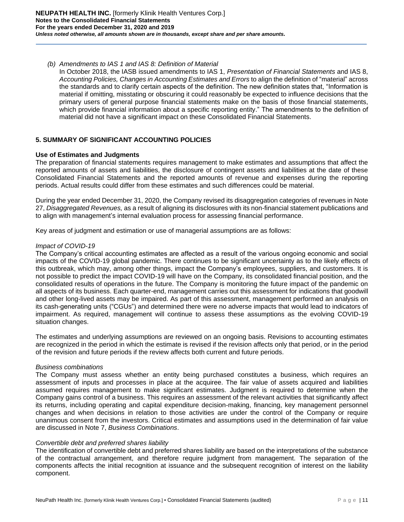*(b) Amendments to IAS 1 and IAS 8: Definition of Material* 

In October 2018, the IASB issued amendments to IAS 1, *Presentation of Financial Statements* and IAS 8, *Accounting Policies, Changes in Accounting Estimates and Errors* to align the definition of "material" across the standards and to clarify certain aspects of the definition. The new definition states that, "Information is material if omitting, misstating or obscuring it could reasonably be expected to influence decisions that the primary users of general purpose financial statements make on the basis of those financial statements, which provide financial information about a specific reporting entity." The amendments to the definition of material did not have a significant impact on these Consolidated Financial Statements.

### **5. SUMMARY OF SIGNIFICANT ACCOUNTING POLICIES**

### **Use of Estimates and Judgments**

The preparation of financial statements requires management to make estimates and assumptions that affect the reported amounts of assets and liabilities, the disclosure of contingent assets and liabilities at the date of these Consolidated Financial Statements and the reported amounts of revenue and expenses during the reporting periods. Actual results could differ from these estimates and such differences could be material.

During the year ended December 31, 2020, the Company revised its disaggregation categories of revenues in Note 27, *Disaggregated Revenues,* as a result of aligning its disclosures with its non-financial statement publications and to align with management's internal evaluation process for assessing financial performance.

Key areas of judgment and estimation or use of managerial assumptions are as follows:

### *Impact of COVID-19*

The Company's critical accounting estimates are affected as a result of the various ongoing economic and social impacts of the COVID-19 global pandemic. There continues to be significant uncertainty as to the likely effects of this outbreak, which may, among other things, impact the Company's employees, suppliers, and customers. It is not possible to predict the impact COVID-19 will have on the Company, its consolidated financial position, and the consolidated results of operations in the future. The Company is monitoring the future impact of the pandemic on all aspects of its business. Each quarter-end, management carries out this assessment for indications that goodwill and other long-lived assets may be impaired. As part of this assessment, management performed an analysis on its cash-generating units ("CGUs") and determined there were no adverse impacts that would lead to indicators of impairment. As required, management will continue to assess these assumptions as the evolving COVID-19 situation changes.

The estimates and underlying assumptions are reviewed on an ongoing basis. Revisions to accounting estimates are recognized in the period in which the estimate is revised if the revision affects only that period, or in the period of the revision and future periods if the review affects both current and future periods.

### *Business combinations*

The Company must assess whether an entity being purchased constitutes a business, which requires an assessment of inputs and processes in place at the acquiree. The fair value of assets acquired and liabilities assumed requires management to make significant estimates. Judgment is required to determine when the Company gains control of a business. This requires an assessment of the relevant activities that significantly affect its returns, including operating and capital expenditure decision-making, financing, key management personnel changes and when decisions in relation to those activities are under the control of the Company or require unanimous consent from the investors. Critical estimates and assumptions used in the determination of fair value are discussed in Note 7, *Business Combinations*.

#### *Convertible debt and preferred shares liability*

The identification of convertible debt and preferred shares liability are based on the interpretations of the substance of the contractual arrangement, and therefore require judgment from management. The separation of the components affects the initial recognition at issuance and the subsequent recognition of interest on the liability component.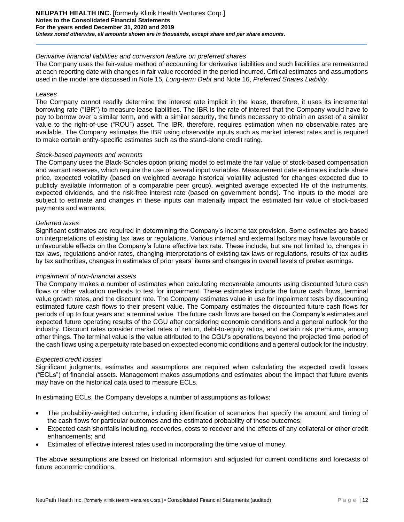### *Derivative financial liabilities and conversion feature on preferred shares*

The Company uses the fair-value method of accounting for derivative liabilities and such liabilities are remeasured at each reporting date with changes in fair value recorded in the period incurred. Critical estimates and assumptions used in the model are discussed in Note 15*, Long-term Debt* and Note 16, *Preferred Shares Liability*.

### *Leases*

The Company cannot readily determine the interest rate implicit in the lease, therefore, it uses its incremental borrowing rate ("IBR") to measure lease liabilities. The IBR is the rate of interest that the Company would have to pay to borrow over a similar term, and with a similar security, the funds necessary to obtain an asset of a similar value to the right-of-use ("ROU") asset. The IBR, therefore, requires estimation when no observable rates are available. The Company estimates the IBR using observable inputs such as market interest rates and is required to make certain entity-specific estimates such as the stand-alone credit rating.

### *Stock-based payments and warrants*

The Company uses the Black-Scholes option pricing model to estimate the fair value of stock-based compensation and warrant reserves, which require the use of several input variables. Measurement date estimates include share price, expected volatility (based on weighted average historical volatility adjusted for changes expected due to publicly available information of a comparable peer group), weighted average expected life of the instruments, expected dividends, and the risk-free interest rate (based on government bonds). The inputs to the model are subject to estimate and changes in these inputs can materially impact the estimated fair value of stock-based payments and warrants.

### *Deferred taxes*

Significant estimates are required in determining the Company's income tax provision. Some estimates are based on interpretations of existing tax laws or regulations. Various internal and external factors may have favourable or unfavourable effects on the Company's future effective tax rate. These include, but are not limited to, changes in tax laws, regulations and/or rates, changing interpretations of existing tax laws or regulations, results of tax audits by tax authorities, changes in estimates of prior years' items and changes in overall levels of pretax earnings.

### *Impairment of non-financial assets*

The Company makes a number of estimates when calculating recoverable amounts using discounted future cash flows or other valuation methods to test for impairment. These estimates include the future cash flows, terminal value growth rates, and the discount rate. The Company estimates value in use for impairment tests by discounting estimated future cash flows to their present value. The Company estimates the discounted future cash flows for periods of up to four years and a terminal value. The future cash flows are based on the Company's estimates and expected future operating results of the CGU after considering economic conditions and a general outlook for the industry. Discount rates consider market rates of return, debt-to-equity ratios, and certain risk premiums, among other things. The terminal value is the value attributed to the CGU's operations beyond the projected time period of the cash flows using a perpetuity rate based on expected economic conditions and a general outlook for the industry.

### *Expected credit losses*

Significant judgments, estimates and assumptions are required when calculating the expected credit losses ("ECLs") of financial assets. Management makes assumptions and estimates about the impact that future events may have on the historical data used to measure ECLs.

In estimating ECLs, the Company develops a number of assumptions as follows:

- The probability-weighted outcome, including identification of scenarios that specify the amount and timing of the cash flows for particular outcomes and the estimated probability of those outcomes;
- Expected cash shortfalls including, recoveries, costs to recover and the effects of any collateral or other credit enhancements; and
- Estimates of effective interest rates used in incorporating the time value of money.

The above assumptions are based on historical information and adjusted for current conditions and forecasts of future economic conditions.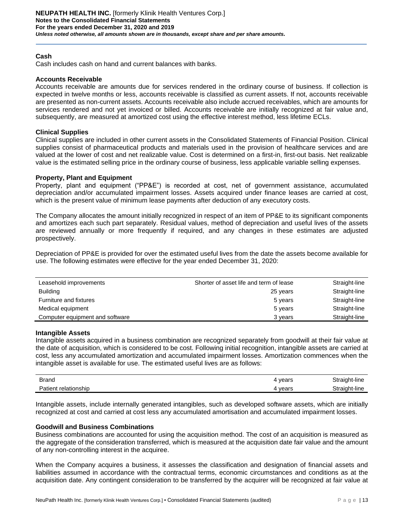### **Cash**

Cash includes cash on hand and current balances with banks.

#### **Accounts Receivable**

Accounts receivable are amounts due for services rendered in the ordinary course of business. If collection is expected in twelve months or less, accounts receivable is classified as current assets. If not, accounts receivable are presented as non-current assets. Accounts receivable also include accrued receivables, which are amounts for services rendered and not yet invoiced or billed. Accounts receivable are initially recognized at fair value and, subsequently, are measured at amortized cost using the effective interest method, less lifetime ECLs.

### **Clinical Supplies**

Clinical supplies are included in other current assets in the Consolidated Statements of Financial Position. Clinical supplies consist of pharmaceutical products and materials used in the provision of healthcare services and are valued at the lower of cost and net realizable value. Cost is determined on a first-in, first-out basis. Net realizable value is the estimated selling price in the ordinary course of business, less applicable variable selling expenses.

### **Property, Plant and Equipment**

Property, plant and equipment ("PP&E") is recorded at cost, net of government assistance, accumulated depreciation and/or accumulated impairment losses. Assets acquired under finance leases are carried at cost, which is the present value of minimum lease payments after deduction of any executory costs.

The Company allocates the amount initially recognized in respect of an item of PP&E to its significant components and amortizes each such part separately. Residual values, method of depreciation and useful lives of the assets are reviewed annually or more frequently if required, and any changes in these estimates are adjusted prospectively.

Depreciation of PP&E is provided for over the estimated useful lives from the date the assets become available for use. The following estimates were effective for the year ended December 31, 2020:

| Leasehold improvements          | Shorter of asset life and term of lease | Straight-line |
|---------------------------------|-----------------------------------------|---------------|
| <b>Building</b>                 | 25 years                                | Straight-line |
| Furniture and fixtures          | 5 years                                 | Straight-line |
| Medical equipment               | 5 years                                 | Straight-line |
| Computer equipment and software | 3 years                                 | Straight-line |

### **Intangible Assets**

Intangible assets acquired in a business combination are recognized separately from goodwill at their fair value at the date of acquisition, which is considered to be cost. Following initial recognition, intangible assets are carried at cost, less any accumulated amortization and accumulated impairment losses. Amortization commences when the intangible asset is available for use. The estimated useful lives are as follows:

| <b>Brand</b>            | years | $Q$ troiabt<br>Straight-line |
|-------------------------|-------|------------------------------|
| relationship<br>'atient | years | $2$ troiabt<br>-line<br>υιι  |

Intangible assets, include internally generated intangibles, such as developed software assets, which are initially recognized at cost and carried at cost less any accumulated amortisation and accumulated impairment losses.

#### **Goodwill and Business Combinations**

Business combinations are accounted for using the acquisition method. The cost of an acquisition is measured as the aggregate of the consideration transferred, which is measured at the acquisition date fair value and the amount of any non-controlling interest in the acquiree.

When the Company acquires a business, it assesses the classification and designation of financial assets and liabilities assumed in accordance with the contractual terms, economic circumstances and conditions as at the acquisition date. Any contingent consideration to be transferred by the acquirer will be recognized at fair value at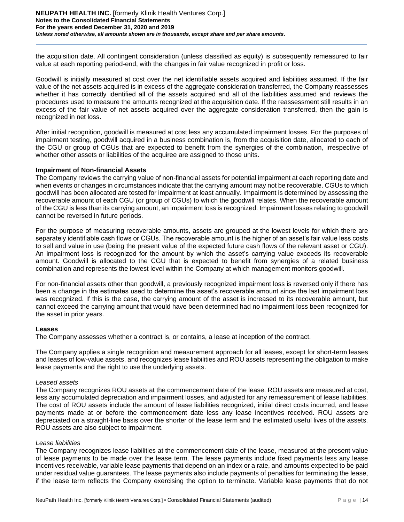the acquisition date. All contingent consideration (unless classified as equity) is subsequently remeasured to fair value at each reporting period-end, with the changes in fair value recognized in profit or loss.

Goodwill is initially measured at cost over the net identifiable assets acquired and liabilities assumed. If the fair value of the net assets acquired is in excess of the aggregate consideration transferred, the Company reassesses whether it has correctly identified all of the assets acquired and all of the liabilities assumed and reviews the procedures used to measure the amounts recognized at the acquisition date. If the reassessment still results in an excess of the fair value of net assets acquired over the aggregate consideration transferred, then the gain is recognized in net loss.

After initial recognition, goodwill is measured at cost less any accumulated impairment losses. For the purposes of impairment testing, goodwill acquired in a business combination is, from the acquisition date, allocated to each of the CGU or group of CGUs that are expected to benefit from the synergies of the combination, irrespective of whether other assets or liabilities of the acquiree are assigned to those units.

### **Impairment of Non-financial Assets**

The Company reviews the carrying value of non-financial assets for potential impairment at each reporting date and when events or changes in circumstances indicate that the carrying amount may not be recoverable. CGUs to which goodwill has been allocated are tested for impairment at least annually. Impairment is determined by assessing the recoverable amount of each CGU (or group of CGUs) to which the goodwill relates. When the recoverable amount of the CGU is less than its carrying amount, an impairment loss is recognized. Impairment losses relating to goodwill cannot be reversed in future periods.

For the purpose of measuring recoverable amounts, assets are grouped at the lowest levels for which there are separately identifiable cash flows or CGUs. The recoverable amount is the higher of an asset's fair value less costs to sell and value in use (being the present value of the expected future cash flows of the relevant asset or CGU). An impairment loss is recognized for the amount by which the asset's carrying value exceeds its recoverable amount. Goodwill is allocated to the CGU that is expected to benefit from synergies of a related business combination and represents the lowest level within the Company at which management monitors goodwill.

For non-financial assets other than goodwill, a previously recognized impairment loss is reversed only if there has been a change in the estimates used to determine the asset's recoverable amount since the last impairment loss was recognized. If this is the case, the carrying amount of the asset is increased to its recoverable amount, but cannot exceed the carrying amount that would have been determined had no impairment loss been recognized for the asset in prior years.

#### **Leases**

The Company assesses whether a contract is, or contains, a lease at inception of the contract.

The Company applies a single recognition and measurement approach for all leases, except for short-term leases and leases of low-value assets, and recognizes lease liabilities and ROU assets representing the obligation to make lease payments and the right to use the underlying assets.

#### *Leased assets*

The Company recognizes ROU assets at the commencement date of the lease. ROU assets are measured at cost, less any accumulated depreciation and impairment losses, and adjusted for any remeasurement of lease liabilities. The cost of ROU assets include the amount of lease liabilities recognized, initial direct costs incurred, and lease payments made at or before the commencement date less any lease incentives received. ROU assets are depreciated on a straight-line basis over the shorter of the lease term and the estimated useful lives of the assets. ROU assets are also subject to impairment.

#### *Lease liabilities*

The Company recognizes lease liabilities at the commencement date of the lease, measured at the present value of lease payments to be made over the lease term. The lease payments include fixed payments less any lease incentives receivable, variable lease payments that depend on an index or a rate, and amounts expected to be paid under residual value guarantees. The lease payments also include payments of penalties for terminating the lease, if the lease term reflects the Company exercising the option to terminate. Variable lease payments that do not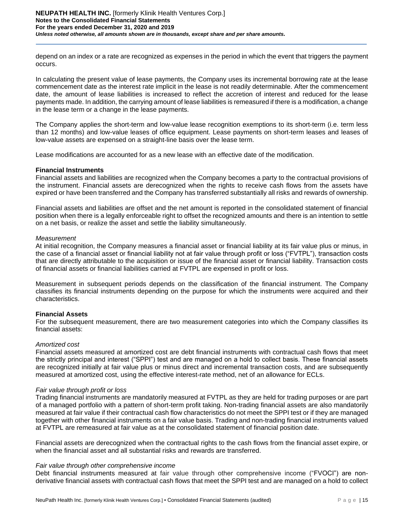depend on an index or a rate are recognized as expenses in the period in which the event that triggers the payment occurs.

In calculating the present value of lease payments, the Company uses its incremental borrowing rate at the lease commencement date as the interest rate implicit in the lease is not readily determinable. After the commencement date, the amount of lease liabilities is increased to reflect the accretion of interest and reduced for the lease payments made. In addition, the carrying amount of lease liabilities is remeasured if there is a modification, a change in the lease term or a change in the lease payments.

The Company applies the short-term and low-value lease recognition exemptions to its short-term (i.e. term less than 12 months) and low-value leases of office equipment. Lease payments on short-term leases and leases of low-value assets are expensed on a straight-line basis over the lease term.

Lease modifications are accounted for as a new lease with an effective date of the modification.

### **Financial Instruments**

Financial assets and liabilities are recognized when the Company becomes a party to the contractual provisions of the instrument. Financial assets are derecognized when the rights to receive cash flows from the assets have expired or have been transferred and the Company has transferred substantially all risks and rewards of ownership.

Financial assets and liabilities are offset and the net amount is reported in the consolidated statement of financial position when there is a legally enforceable right to offset the recognized amounts and there is an intention to settle on a net basis, or realize the asset and settle the liability simultaneously.

#### *Measurement*

At initial recognition, the Company measures a financial asset or financial liability at its fair value plus or minus, in the case of a financial asset or financial liability not at fair value through profit or loss ("FVTPL"), transaction costs that are directly attributable to the acquisition or issue of the financial asset or financial liability. Transaction costs of financial assets or financial liabilities carried at FVTPL are expensed in profit or loss.

Measurement in subsequent periods depends on the classification of the financial instrument. The Company classifies its financial instruments depending on the purpose for which the instruments were acquired and their characteristics.

### **Financial Assets**

For the subsequent measurement, there are two measurement categories into which the Company classifies its financial assets:

#### *Amortized cost*

Financial assets measured at amortized cost are debt financial instruments with contractual cash flows that meet the strictly principal and interest ("SPPI") test and are managed on a hold to collect basis. These financial assets are recognized initially at fair value plus or minus direct and incremental transaction costs, and are subsequently measured at amortized cost, using the effective interest-rate method, net of an allowance for ECLs.

#### *Fair value through profit or loss*

Trading financial instruments are mandatorily measured at FVTPL as they are held for trading purposes or are part of a managed portfolio with a pattern of short-term profit taking. Non-trading financial assets are also mandatorily measured at fair value if their contractual cash flow characteristics do not meet the SPPI test or if they are managed together with other financial instruments on a fair value basis. Trading and non-trading financial instruments valued at FVTPL are remeasured at fair value as at the consolidated statement of financial position date.

Financial assets are derecognized when the contractual rights to the cash flows from the financial asset expire, or when the financial asset and all substantial risks and rewards are transferred.

#### *Fair value through other comprehensive income*

Debt financial instruments measured at fair value through other comprehensive income ("FVOCI") are nonderivative financial assets with contractual cash flows that meet the SPPI test and are managed on a hold to collect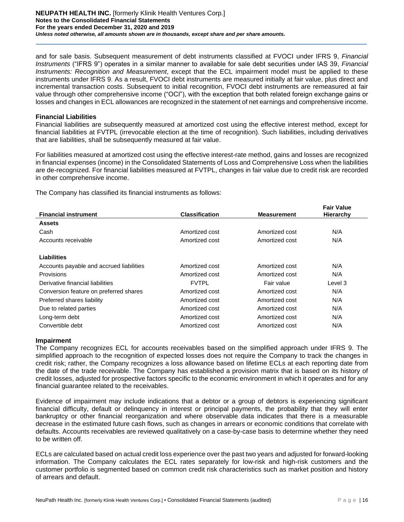and for sale basis. Subsequent measurement of debt instruments classified at FVOCI under IFRS 9, *Financial Instruments* ("IFRS 9") operates in a similar manner to available for sale debt securities under IAS 39, *Financial Instruments: Recognition and Measurement*, except that the ECL impairment model must be applied to these instruments under IFRS 9. As a result, FVOCI debt instruments are measured initially at fair value, plus direct and incremental transaction costs. Subsequent to initial recognition, FVOCI debt instruments are remeasured at fair value through other comprehensive income ("OCI"), with the exception that both related foreign exchange gains or losses and changes in ECL allowances are recognized in the statement of net earnings and comprehensive income.

### **Financial Liabilities**

Financial liabilities are subsequently measured at amortized cost using the effective interest method, except for financial liabilities at FVTPL (irrevocable election at the time of recognition). Such liabilities, including derivatives that are liabilities, shall be subsequently measured at fair value.

For liabilities measured at amortized cost using the effective interest-rate method, gains and losses are recognized in financial expenses (income) in the Consolidated Statements of Loss and Comprehensive Loss when the liabilities are de-recognized. For financial liabilities measured at FVTPL, changes in fair value due to credit risk are recorded in other comprehensive income.

The Company has classified its financial instruments as follows:

|                                          |                       |                    | <b>Fair Value</b> |
|------------------------------------------|-----------------------|--------------------|-------------------|
| <b>Financial instrument</b>              | <b>Classification</b> | <b>Measurement</b> | Hierarchy         |
| <b>Assets</b>                            |                       |                    |                   |
| Cash                                     | Amortized cost        | Amortized cost     | N/A               |
| Accounts receivable                      | Amortized cost        | Amortized cost     | N/A               |
| <b>Liabilities</b>                       |                       |                    |                   |
| Accounts payable and accrued liabilities | Amortized cost        | Amortized cost     | N/A               |
| Provisions                               | Amortized cost        | Amortized cost     | N/A               |
| Derivative financial liabilities         | <b>FVTPL</b>          | Fair value         | Level 3           |
| Conversion feature on preferred shares   | Amortized cost        | Amortized cost     | N/A               |
| Preferred shares liability               | Amortized cost        | Amortized cost     | N/A               |
| Due to related parties                   | Amortized cost        | Amortized cost     | N/A               |
| Long-term debt                           | Amortized cost        | Amortized cost     | N/A               |
| Convertible debt                         | Amortized cost        | Amortized cost     | N/A               |

### **Impairment**

The Company recognizes ECL for accounts receivables based on the simplified approach under IFRS 9. The simplified approach to the recognition of expected losses does not require the Company to track the changes in credit risk; rather, the Company recognizes a loss allowance based on lifetime ECLs at each reporting date from the date of the trade receivable. The Company has established a provision matrix that is based on its history of credit losses, adjusted for prospective factors specific to the economic environment in which it operates and for any financial guarantee related to the receivables.

Evidence of impairment may include indications that a debtor or a group of debtors is experiencing significant financial difficulty, default or delinquency in interest or principal payments, the probability that they will enter bankruptcy or other financial reorganization and where observable data indicates that there is a measurable decrease in the estimated future cash flows, such as changes in arrears or economic conditions that correlate with defaults. Accounts receivables are reviewed qualitatively on a case-by-case basis to determine whether they need to be written off.

ECLs are calculated based on actual credit loss experience over the past two years and adjusted for forward-looking information. The Company calculates the ECL rates separately for low-risk and high-risk customers and the customer portfolio is segmented based on common credit risk characteristics such as market position and history of arrears and default.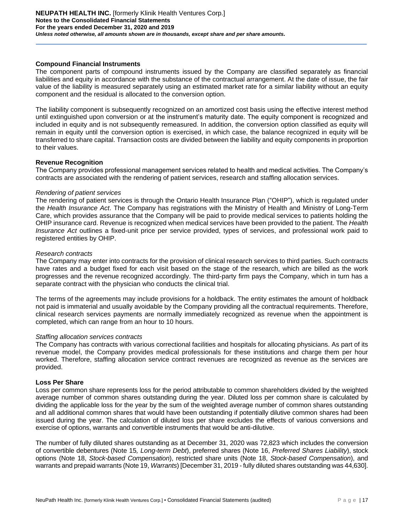### **Compound Financial Instruments**

The component parts of compound instruments issued by the Company are classified separately as financial liabilities and equity in accordance with the substance of the contractual arrangement. At the date of issue, the fair value of the liability is measured separately using an estimated market rate for a similar liability without an equity component and the residual is allocated to the conversion option.

The liability component is subsequently recognized on an amortized cost basis using the effective interest method until extinguished upon conversion or at the instrument's maturity date. The equity component is recognized and included in equity and is not subsequently remeasured. In addition, the conversion option classified as equity will remain in equity until the conversion option is exercised, in which case, the balance recognized in equity will be transferred to share capital. Transaction costs are divided between the liability and equity components in proportion to their values.

### **Revenue Recognition**

The Company provides professional management services related to health and medical activities. The Company's contracts are associated with the rendering of patient services, research and staffing allocation services.

### *Rendering of patient services*

The rendering of patient services is through the Ontario Health Insurance Plan ("OHIP"), which is regulated under the *Health Insurance Act*. The Company has registrations with the Ministry of Health and Ministry of Long-Term Care, which provides assurance that the Company will be paid to provide medical services to patients holding the OHIP insurance card. Revenue is recognized when medical services have been provided to the patient. The *Health Insurance Act* outlines a fixed-unit price per service provided, types of services, and professional work paid to registered entities by OHIP.

### *Research contracts*

The Company may enter into contracts for the provision of clinical research services to third parties. Such contracts have rates and a budget fixed for each visit based on the stage of the research, which are billed as the work progresses and the revenue recognized accordingly. The third-party firm pays the Company, which in turn has a separate contract with the physician who conducts the clinical trial.

The terms of the agreements may include provisions for a holdback. The entity estimates the amount of holdback not paid is immaterial and usually avoidable by the Company providing all the contractual requirements. Therefore, clinical research services payments are normally immediately recognized as revenue when the appointment is completed, which can range from an hour to 10 hours.

### *Staffing allocation services contracts*

The Company has contracts with various correctional facilities and hospitals for allocating physicians. As part of its revenue model, the Company provides medical professionals for these institutions and charge them per hour worked. Therefore, staffing allocation service contract revenues are recognized as revenue as the services are provided.

### **Loss Per Share**

Loss per common share represents loss for the period attributable to common shareholders divided by the weighted average number of common shares outstanding during the year. Diluted loss per common share is calculated by dividing the applicable loss for the year by the sum of the weighted average number of common shares outstanding and all additional common shares that would have been outstanding if potentially dilutive common shares had been issued during the year. The calculation of diluted loss per share excludes the effects of various conversions and exercise of options, warrants and convertible instruments that would be anti-dilutive.

The number of fully diluted shares outstanding as at December 31, 2020 was 72,823 which includes the conversion of convertible debentures (Note 15*, Long-term Debt*), preferred shares (Note 16, *Preferred Shares Liability*), stock options (Note 18, *Stock-based Compensation*), restricted share units (Note 18, *Stock-based Compensation*), and warrants and prepaid warrants (Note 19, *Warrants*) [December 31, 2019 - fully diluted shares outstanding was 44,630].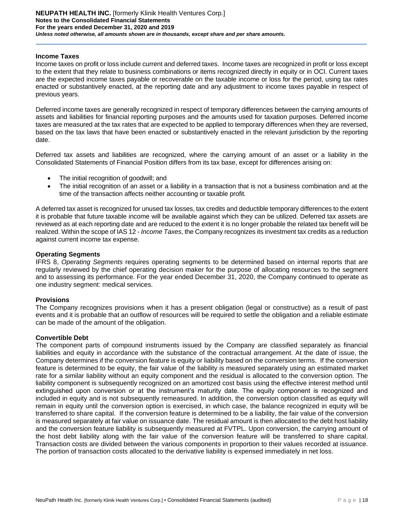### **Income Taxes**

Income taxes on profit or loss include current and deferred taxes. Income taxes are recognized in profit or loss except to the extent that they relate to business combinations or items recognized directly in equity or in OCI. Current taxes are the expected income taxes payable or recoverable on the taxable income or loss for the period, using tax rates enacted or substantively enacted, at the reporting date and any adjustment to income taxes payable in respect of previous years.

Deferred income taxes are generally recognized in respect of temporary differences between the carrying amounts of assets and liabilities for financial reporting purposes and the amounts used for taxation purposes. Deferred income taxes are measured at the tax rates that are expected to be applied to temporary differences when they are reversed, based on the tax laws that have been enacted or substantively enacted in the relevant jurisdiction by the reporting date.

Deferred tax assets and liabilities are recognized, where the carrying amount of an asset or a liability in the Consolidated Statements of Financial Position differs from its tax base, except for differences arising on:

- The initial recognition of goodwill; and
- The initial recognition of an asset or a liability in a transaction that is not a business combination and at the time of the transaction affects neither accounting or taxable profit.

A deferred tax asset is recognized for unused tax losses, tax credits and deductible temporary differences to the extent it is probable that future taxable income will be available against which they can be utilized. Deferred tax assets are reviewed as at each reporting date and are reduced to the extent it is no longer probable the related tax benefit will be realized. Within the scope of IAS 12 - *Income Taxes*, the Company recognizes its investment tax credits as a reduction against current income tax expense.

### **Operating Segments**

IFRS 8, *Operating Segments* requires operating segments to be determined based on internal reports that are regularly reviewed by the chief operating decision maker for the purpose of allocating resources to the segment and to assessing its performance. For the year ended December 31, 2020, the Company continued to operate as one industry segment: medical services.

### **Provisions**

The Company recognizes provisions when it has a present obligation (legal or constructive) as a result of past events and it is probable that an outflow of resources will be required to settle the obligation and a reliable estimate can be made of the amount of the obligation.

### **Convertible Debt**

The component parts of compound instruments issued by the Company are classified separately as financial liabilities and equity in accordance with the substance of the contractual arrangement. At the date of issue, the Company determines if the conversion feature is equity or liability based on the conversion terms. If the conversion feature is determined to be equity, the fair value of the liability is measured separately using an estimated market rate for a similar liability without an equity component and the residual is allocated to the conversion option. The liability component is subsequently recognized on an amortized cost basis using the effective interest method until extinguished upon conversion or at the instrument's maturity date. The equity component is recognized and included in equity and is not subsequently remeasured. In addition, the conversion option classified as equity will remain in equity until the conversion option is exercised, in which case, the balance recognized in equity will be transferred to share capital. If the conversion feature is determined to be a liability, the fair value of the conversion is measured separately at fair value on issuance date. The residual amount is then allocated to the debt host liability and the conversion feature liability is subsequently measured at FVTPL. Upon conversion, the carrying amount of the host debt liability along with the fair value of the conversion feature will be transferred to share capital. Transaction costs are divided between the various components in proportion to their values recorded at issuance. The portion of transaction costs allocated to the derivative liability is expensed immediately in net loss.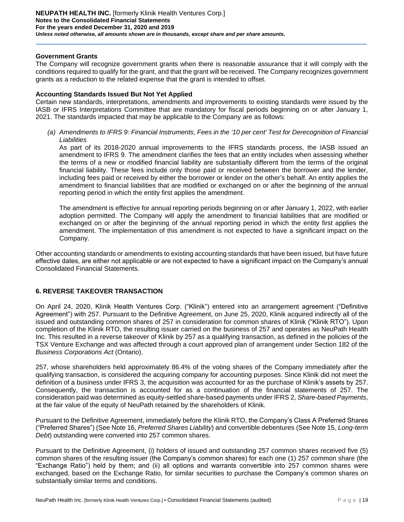### **Government Grants**

The Company will recognize government grants when there is reasonable assurance that it will comply with the conditions required to qualify for the grant, and that the grant will be received. The Company recognizes government grants as a reduction to the related expense that the grant is intended to offset.

### **Accounting Standards Issued But Not Yet Applied**

Certain new standards, interpretations, amendments and improvements to existing standards were issued by the IASB or IFRS Interpretations Committee that are mandatory for fiscal periods beginning on or after January 1, 2021. The standards impacted that may be applicable to the Company are as follows:

*(a) Amendments to IFRS 9: Financial Instruments, Fees in the '10 per cent' Test for Derecognition of Financial Liabilities*

As part of its 2018-2020 annual improvements to the IFRS standards process, the IASB issued an amendment to IFRS 9. The amendment clarifies the fees that an entity includes when assessing whether the terms of a new or modified financial liability are substantially different from the terms of the original financial liability. These fees include only those paid or received between the borrower and the lender, including fees paid or received by either the borrower or lender on the other's behalf. An entity applies the amendment to financial liabilities that are modified or exchanged on or after the beginning of the annual reporting period in which the entity first applies the amendment.

The amendment is effective for annual reporting periods beginning on or after January 1, 2022, with earlier adoption permitted. The Company will apply the amendment to financial liabilities that are modified or exchanged on or after the beginning of the annual reporting period in which the entity first applies the amendment. The implementation of this amendment is not expected to have a significant impact on the Company.

Other accounting standards or amendments to existing accounting standards that have been issued, but have future effective dates, are either not applicable or are not expected to have a significant impact on the Company's annual Consolidated Financial Statements.

### **6. REVERSE TAKEOVER TRANSACTION**

On April 24, 2020, Klinik Health Ventures Corp. ("Klinik") entered into an arrangement agreement ("Definitive Agreement") with 257. Pursuant to the Definitive Agreement, on June 25, 2020, Klinik acquired indirectly all of the issued and outstanding common shares of 257 in consideration for common shares of Klinik ("Klinik RTO"). Upon completion of the Klinik RTO, the resulting issuer carried on the business of 257 and operates as NeuPath Health Inc. This resulted in a reverse takeover of Klinik by 257 as a qualifying transaction, as defined in the policies of the TSX Venture Exchange and was affected through a court approved plan of arrangement under Section 182 of the *Business Corporations Act* (Ontario).

257, whose shareholders held approximately 86.4% of the voting shares of the Company immediately after the qualifying transaction, is considered the acquiring company for accounting purposes. Since Klinik did not meet the definition of a business under IFRS 3, the acquisition was accounted for as the purchase of Klinik's assets by 257. Consequently, the transaction is accounted for as a continuation of the financial statements of 257. The consideration paid was determined as equity-settled share-based payments under IFRS 2, *Share-based Payments*, at the fair value of the equity of NeuPath retained by the shareholders of Klinik.

Pursuant to the Definitive Agreement, immediately before the Klinik RTO, the Company's Class A Preferred Shares ("Preferred Shares") (See Note 16, *Preferred Shares Liability*) and convertible debentures (See Note 15, *Long-term Debt*) outstanding were converted into 257 common shares.

Pursuant to the Definitive Agreement, (i) holders of issued and outstanding 257 common shares received five (5) common shares of the resulting issuer (the Company's common shares) for each one (1) 257 common share (the "Exchange Ratio") held by them; and (ii) all options and warrants convertible into 257 common shares were exchanged, based on the Exchange Ratio, for similar securities to purchase the Company's common shares on substantially similar terms and conditions.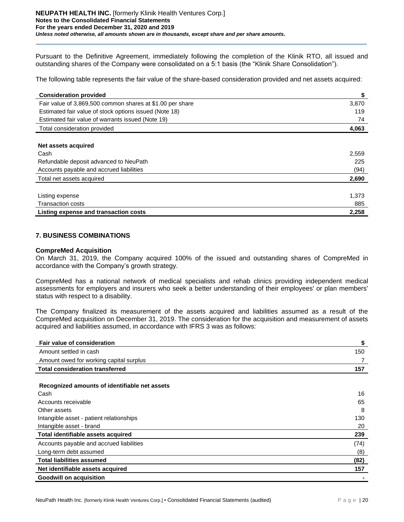Pursuant to the Definitive Agreement, immediately following the completion of the Klinik RTO, all issued and outstanding shares of the Company were consolidated on a 5:1 basis (the "Klinik Share Consolidation").

The following table represents the fair value of the share-based consideration provided and net assets acquired:

| <b>Consideration provided</b>                             | \$    |
|-----------------------------------------------------------|-------|
| Fair value of 3,869,500 common shares at \$1.00 per share | 3,870 |
| Estimated fair value of stock options issued (Note 18)    | 119   |
| Estimated fair value of warrants issued (Note 19)         | 74    |
| Total consideration provided                              | 4,063 |
|                                                           |       |
| Net assets acquired                                       |       |
| Cash                                                      | 2,559 |
| Refundable deposit advanced to NeuPath                    | 225   |
| Accounts payable and accrued liabilities                  | (94)  |
| Total net assets acquired                                 | 2,690 |
|                                                           |       |
| Listing expense                                           | 1,373 |
| <b>Transaction costs</b>                                  | 885   |
| Listing expense and transaction costs                     | 2,258 |

### **7. BUSINESS COMBINATIONS**

### **CompreMed Acquisition**

On March 31, 2019, the Company acquired 100% of the issued and outstanding shares of CompreMed in accordance with the Company's growth strategy.

CompreMed has a national network of medical specialists and rehab clinics providing independent medical assessments for employers and insurers who seek a better understanding of their employees' or plan members' status with respect to a disability.

The Company finalized its measurement of the assets acquired and liabilities assumed as a result of the CompreMed acquisition on December 31, 2019. The consideration for the acquisition and measurement of assets acquired and liabilities assumed, in accordance with IFRS 3 was as follows:

| Fair value of consideration                   | \$   |
|-----------------------------------------------|------|
| Amount settled in cash                        | 150  |
| Amount owed for working capital surplus       |      |
| <b>Total consideration transferred</b>        | 157  |
|                                               |      |
| Recognized amounts of identifiable net assets |      |
| Cash                                          | 16   |
| Accounts receivable                           | 65   |
| Other assets                                  | 8    |
| Intangible asset - patient relationships      | 130  |
| Intangible asset - brand                      | 20   |
| Total identifiable assets acquired            | 239  |
| Accounts payable and accrued liabilities      | (74) |
| Long-term debt assumed                        | (8)  |
| <b>Total liabilities assumed</b>              | (82) |
| Net identifiable assets acquired              | 157  |
| <b>Goodwill on acquisition</b>                |      |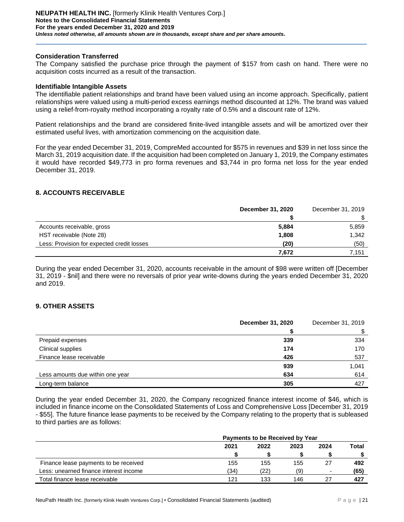### **Consideration Transferred**

The Company satisfied the purchase price through the payment of \$157 from cash on hand. There were no acquisition costs incurred as a result of the transaction.

#### **Identifiable Intangible Assets**

The identifiable patient relationships and brand have been valued using an income approach. Specifically, patient relationships were valued using a multi-period excess earnings method discounted at 12%. The brand was valued using a relief-from-royalty method incorporating a royalty rate of 0.5% and a discount rate of 12%.

Patient relationships and the brand are considered finite-lived intangible assets and will be amortized over their estimated useful lives, with amortization commencing on the acquisition date.

For the year ended December 31, 2019, CompreMed accounted for \$575 in revenues and \$39 in net loss since the March 31, 2019 acquisition date. If the acquisition had been completed on January 1, 2019, the Company estimates it would have recorded \$49,773 in pro forma revenues and \$3,744 in pro forma net loss for the year ended December 31, 2019.

### **8. ACCOUNTS RECEIVABLE**

|                                            | December 31, 2020 | December 31, 2019 |
|--------------------------------------------|-------------------|-------------------|
|                                            |                   |                   |
| Accounts receivable, gross                 | 5,884             | 5,859             |
| HST receivable (Note 28)                   | 1.808             | 1.342             |
| Less: Provision for expected credit losses | (20)              | (50)              |
|                                            | 7.672             | 7.151             |

During the year ended December 31, 2020, accounts receivable in the amount of \$98 were written off [December 31, 2019 - \$nil] and there were no reversals of prior year write-downs during the years ended December 31, 2020 and 2019.

### **9. OTHER ASSETS**

|                                  | December 31, 2020 | December 31, 2019 |
|----------------------------------|-------------------|-------------------|
|                                  |                   |                   |
| Prepaid expenses                 | 339               | 334               |
| Clinical supplies                | 174               | 170               |
| Finance lease receivable         | 426               | 537               |
|                                  | 939               | 1,041             |
| Less amounts due within one year | 634               | 614               |
| Long-term balance                | 305               | 427               |

During the year ended December 31, 2020, the Company recognized finance interest income of \$46, which is included in finance income on the Consolidated Statements of Loss and Comprehensive Loss [December 31, 2019 - \$55]. The future finance lease payments to be received by the Company relating to the property that is subleased to third parties are as follows:

|                                        | Payments to be Received by Year |      |      |                          |       |
|----------------------------------------|---------------------------------|------|------|--------------------------|-------|
|                                        | 2021                            | 2022 | 2023 | 2024                     | Total |
|                                        |                                 |      |      |                          |       |
| Finance lease payments to be received  | 155                             | 155  | 155  | 27                       | 492   |
| Less: unearned finance interest income | (34)                            | (22) | (9)  | $\overline{\phantom{0}}$ | (65)  |
| Total finance lease receivable         | 121                             | 133  | 146  | 27                       | 427   |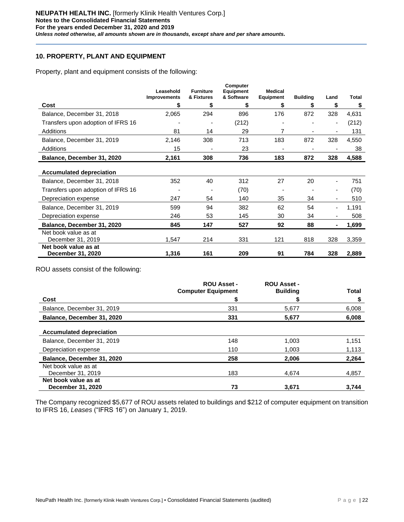### **10. PROPERTY, PLANT AND EQUIPMENT**

Property, plant and equipment consists of the following:

|                                    | Leasehold    | <b>Furniture</b> | Computer<br><b>Equipment</b> | <b>Medical</b> |                 |                          |              |
|------------------------------------|--------------|------------------|------------------------------|----------------|-----------------|--------------------------|--------------|
|                                    | Improvements | & Fixtures       | & Software                   | Equipment      | <b>Building</b> | Land                     | <b>Total</b> |
| Cost                               | \$           | \$               | \$                           | \$             | \$              | \$                       | \$           |
| Balance, December 31, 2018         | 2,065        | 294              | 896                          | 176            | 872             | 328                      | 4,631        |
| Transfers upon adoption of IFRS 16 |              |                  | (212)                        |                |                 | $\overline{\phantom{a}}$ | (212)        |
| Additions                          | 81           | 14               | 29                           |                |                 | $\blacksquare$           | 131          |
| Balance, December 31, 2019         | 2,146        | 308              | 713                          | 183            | 872             | 328                      | 4,550        |
| Additions                          | 15           |                  | 23                           |                |                 |                          | 38           |
| Balance, December 31, 2020         | 2,161        | 308              | 736                          | 183            | 872             | 328                      | 4,588        |
| <b>Accumulated depreciation</b>    |              |                  |                              |                |                 |                          |              |
| Balance, December 31, 2018         | 352          | 40               | 312                          | 27             | 20              | ÷                        | 751          |
| Transfers upon adoption of IFRS 16 |              |                  | (70)                         |                |                 | $\overline{\phantom{a}}$ | (70)         |
| Depreciation expense               | 247          | 54               | 140                          | 35             | 34              | $\overline{\phantom{a}}$ | 510          |
| Balance, December 31, 2019         | 599          | 94               | 382                          | 62             | 54              | $\overline{\phantom{0}}$ | 1,191        |
| Depreciation expense               | 246          | 53               | 145                          | 30             | 34              |                          | 508          |
| Balance, December 31, 2020         | 845          | 147              | 527                          | 92             | 88              | $\blacksquare$           | 1,699        |
| Net book value as at               |              |                  |                              |                |                 |                          |              |
| December 31, 2019                  | 1,547        | 214              | 331                          | 121            | 818             | 328                      | 3,359        |
| Net book value as at               |              |                  |                              |                |                 |                          |              |
| December 31, 2020                  | 1,316        | 161              | 209                          | 91             | 784             | 328                      | 2,889        |

ROU assets consist of the following:

|                                           | <b>ROU Asset -</b><br><b>Computer Equipment</b> | <b>ROU Asset -</b><br><b>Building</b> | Total |
|-------------------------------------------|-------------------------------------------------|---------------------------------------|-------|
| Cost                                      | S                                               |                                       | \$    |
| Balance, December 31, 2019                | 331                                             | 5,677                                 | 6,008 |
| Balance, December 31, 2020                | 331                                             | 5,677                                 | 6,008 |
| <b>Accumulated depreciation</b>           |                                                 |                                       |       |
| Balance, December 31, 2019                | 148                                             | 1,003                                 | 1,151 |
| Depreciation expense                      | 110                                             | 1,003                                 | 1,113 |
| Balance, December 31, 2020                | 258                                             | 2,006                                 | 2,264 |
| Net book value as at<br>December 31, 2019 | 183                                             | 4.674                                 | 4,857 |
| Net book value as at<br>December 31, 2020 | 73                                              | 3.671                                 | 3.744 |

The Company recognized \$5,677 of ROU assets related to buildings and \$212 of computer equipment on transition to IFRS 16, *Leases* ("IFRS 16") on January 1, 2019.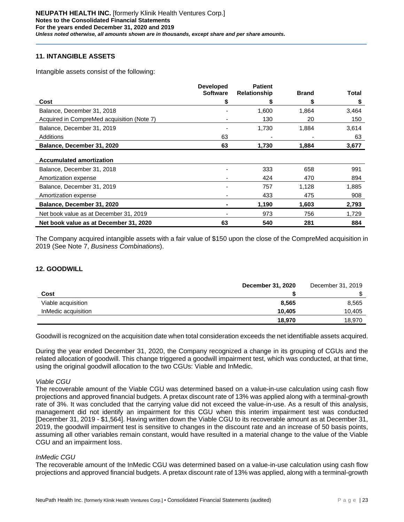### **11. INTANGIBLE ASSETS**

Intangible assets consist of the following:

|                                            | <b>Developed</b><br><b>Software</b> | <b>Patient</b><br><b>Relationship</b> | <b>Brand</b> | Total |
|--------------------------------------------|-------------------------------------|---------------------------------------|--------------|-------|
| Cost                                       |                                     |                                       |              | S     |
| Balance, December 31, 2018                 |                                     | 1,600                                 | 1,864        | 3,464 |
| Acquired in CompreMed acquisition (Note 7) |                                     | 130                                   | 20           | 150   |
| Balance, December 31, 2019                 |                                     | 1,730                                 | 1,884        | 3,614 |
| Additions                                  | 63                                  |                                       |              | 63    |
| Balance, December 31, 2020                 | 63                                  | 1,730                                 | 1,884        | 3,677 |
| <b>Accumulated amortization</b>            |                                     |                                       |              |       |
| Balance, December 31, 2018                 |                                     | 333                                   | 658          | 991   |
| Amortization expense                       |                                     | 424                                   | 470          | 894   |
| Balance, December 31, 2019                 |                                     | 757                                   | 1,128        | 1,885 |
| Amortization expense                       |                                     | 433                                   | 475          | 908   |
| Balance, December 31, 2020                 |                                     | 1,190                                 | 1,603        | 2,793 |
| Net book value as at December 31, 2019     |                                     | 973                                   | 756          | 1,729 |
| Net book value as at December 31, 2020     | 63                                  | 540                                   | 281          | 884   |

The Company acquired intangible assets with a fair value of \$150 upon the close of the CompreMed acquisition in 2019 (See Note 7, *Business Combinations*).

### **12. GOODWILL**

|                     | <b>December 31, 2020</b> | December 31, 2019 |
|---------------------|--------------------------|-------------------|
| Cost                |                          |                   |
| Viable acquisition  | 8.565                    | 8,565             |
| InMedic acquisition | 10.405                   | 10,405            |
|                     | 18,970                   | 18,970            |

Goodwill is recognized on the acquisition date when total consideration exceeds the net identifiable assets acquired.

During the year ended December 31, 2020, the Company recognized a change in its grouping of CGUs and the related allocation of goodwill. This change triggered a goodwill impairment test, which was conducted, at that time, using the original goodwill allocation to the two CGUs: Viable and InMedic.

#### *Viable CGU*

The recoverable amount of the Viable CGU was determined based on a value-in-use calculation using cash flow projections and approved financial budgets. A pretax discount rate of 13% was applied along with a terminal-growth rate of 3%. It was concluded that the carrying value did not exceed the value-in-use. As a result of this analysis, management did not identify an impairment for this CGU when this interim impairment test was conducted [December 31, 2019 - \$1,564]. Having written down the Viable CGU to its recoverable amount as at December 31, 2019, the goodwill impairment test is sensitive to changes in the discount rate and an increase of 50 basis points, assuming all other variables remain constant, would have resulted in a material change to the value of the Viable CGU and an impairment loss.

### *InMedic CGU*

The recoverable amount of the InMedic CGU was determined based on a value-in-use calculation using cash flow projections and approved financial budgets. A pretax discount rate of 13% was applied, along with a terminal-growth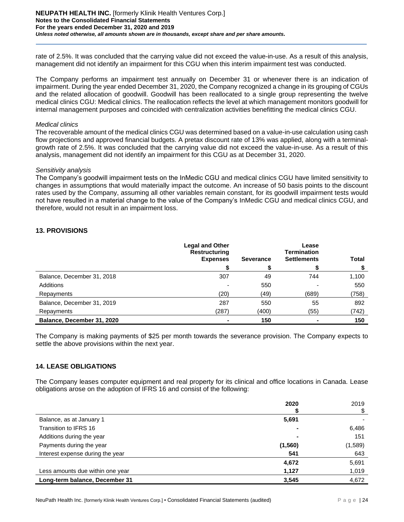rate of 2.5%. It was concluded that the carrying value did not exceed the value-in-use. As a result of this analysis, management did not identify an impairment for this CGU when this interim impairment test was conducted.

The Company performs an impairment test annually on December 31 or whenever there is an indication of impairment. During the year ended December 31, 2020, the Company recognized a change in its grouping of CGUs and the related allocation of goodwill. Goodwill has been reallocated to a single group representing the twelve medical clinics CGU: Medical clinics. The reallocation reflects the level at which management monitors goodwill for internal management purposes and coincided with centralization activities benefitting the medical clinics CGU.

#### *Medical clinics*

The recoverable amount of the medical clinics CGU was determined based on a value-in-use calculation using cash flow projections and approved financial budgets. A pretax discount rate of 13% was applied, along with a terminalgrowth rate of 2.5%. It was concluded that the carrying value did not exceed the value-in-use. As a result of this analysis, management did not identify an impairment for this CGU as at December 31, 2020.

### *Sensitivity analysis*

The Company's goodwill impairment tests on the InMedic CGU and medical clinics CGU have limited sensitivity to changes in assumptions that would materially impact the outcome. An increase of 50 basis points to the discount rates used by the Company, assuming all other variables remain constant, for its goodwill impairment tests would not have resulted in a material change to the value of the Company's InMedic CGU and medical clinics CGU, and therefore, would not result in an impairment loss.

### **13. PROVISIONS**

|                            | <b>Legal and Other</b><br><b>Restructuring</b><br><b>Expenses</b> | <b>Severance</b> | Lease<br><b>Termination</b><br><b>Settlements</b> | <b>Total</b> |
|----------------------------|-------------------------------------------------------------------|------------------|---------------------------------------------------|--------------|
|                            |                                                                   |                  |                                                   |              |
| Balance, December 31, 2018 | 307                                                               | 49               | 744                                               | 1,100        |
| Additions                  |                                                                   | 550              |                                                   | 550          |
| Repayments                 | (20)                                                              | (49)             | (689)                                             | (758)        |
| Balance, December 31, 2019 | 287                                                               | 550              | 55                                                | 892          |
| Repayments                 | (287)                                                             | (400)            | (55)                                              | (742)        |
| Balance, December 31, 2020 |                                                                   | 150              | -                                                 | 150          |

The Company is making payments of \$25 per month towards the severance provision. The Company expects to settle the above provisions within the next year.

### **14. LEASE OBLIGATIONS**

The Company leases computer equipment and real property for its clinical and office locations in Canada. Lease obligations arose on the adoption of IFRS 16 and consist of the following:

|                                  | 2020           | 2019    |
|----------------------------------|----------------|---------|
|                                  |                |         |
| Balance, as at January 1         | 5,691          |         |
| Transition to IFRS 16            |                | 6,486   |
| Additions during the year        | $\blacksquare$ | 151     |
| Payments during the year         | (1,560)        | (1,589) |
| Interest expense during the year | 541            | 643     |
|                                  | 4,672          | 5,691   |
| Less amounts due within one year | 1,127          | 1,019   |
| Long-term balance, December 31   | 3,545          | 4,672   |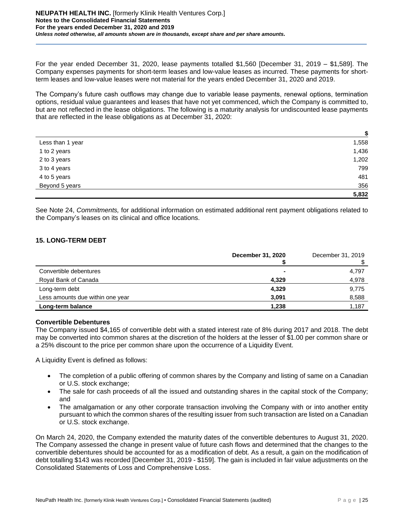For the year ended December 31, 2020, lease payments totalled \$1,560 [December 31, 2019 – \$1,589]. The Company expenses payments for short-term leases and low-value leases as incurred. These payments for shortterm leases and low-value leases were not material for the years ended December 31, 2020 and 2019.

The Company's future cash outflows may change due to variable lease payments, renewal options, termination options, residual value guarantees and leases that have not yet commenced, which the Company is committed to, but are not reflected in the lease obligations. The following is a maturity analysis for undiscounted lease payments that are reflected in the lease obligations as at December 31, 2020:

|                  | \$    |
|------------------|-------|
| Less than 1 year | 1,558 |
| 1 to 2 years     | 1,436 |
| 2 to 3 years     | 1,202 |
| 3 to 4 years     | 799   |
| 4 to 5 years     | 481   |
| Beyond 5 years   | 356   |
|                  | 5,832 |

See Note 24, *Commitments,* for additional information on estimated additional rent payment obligations related to the Company's leases on its clinical and office locations.

### **15. LONG-TERM DEBT**

|                                  | December 31, 2020 | December 31, 2019 |
|----------------------------------|-------------------|-------------------|
| Convertible debentures           | ۰                 | 4,797             |
| Royal Bank of Canada             | 4,329             | 4,978             |
| Long-term debt                   | 4,329             | 9,775             |
| Less amounts due within one year | 3,091             | 8,588             |
| Long-term balance                | 1,238             | 1.187             |

### **Convertible Debentures**

The Company issued \$4,165 of convertible debt with a stated interest rate of 8% during 2017 and 2018. The debt may be converted into common shares at the discretion of the holders at the lesser of \$1.00 per common share or a 25% discount to the price per common share upon the occurrence of a Liquidity Event.

A Liquidity Event is defined as follows:

- The completion of a public offering of common shares by the Company and listing of same on a Canadian or U.S. stock exchange;
- The sale for cash proceeds of all the issued and outstanding shares in the capital stock of the Company; and
- The amalgamation or any other corporate transaction involving the Company with or into another entity pursuant to which the common shares of the resulting issuer from such transaction are listed on a Canadian or U.S. stock exchange.

On March 24, 2020, the Company extended the maturity dates of the convertible debentures to August 31, 2020. The Company assessed the change in present value of future cash flows and determined that the changes to the convertible debentures should be accounted for as a modification of debt. As a result, a gain on the modification of debt totalling \$143 was recorded [December 31, 2019 - \$159]. The gain is included in fair value adjustments on the Consolidated Statements of Loss and Comprehensive Loss.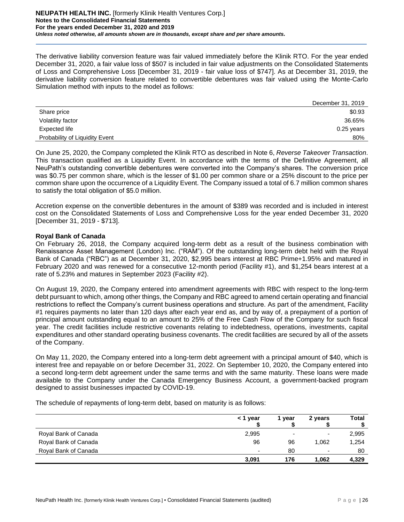#### **NEUPATH HEALTH INC.** [formerly Klinik Health Ventures Corp.] **Notes to the Consolidated Financial Statements For the years ended December 31, 2020 and 2019** *Unless noted otherwise, all amounts shown are in thousands, except share and per share amounts.*

The derivative liability conversion feature was fair valued immediately before the Klinik RTO. For the year ended December 31, 2020, a fair value loss of \$507 is included in fair value adjustments on the Consolidated Statements of Loss and Comprehensive Loss [December 31, 2019 - fair value loss of \$747]. As at December 31, 2019, the derivative liability conversion feature related to convertible debentures was fair valued using the Monte-Carlo Simulation method with inputs to the model as follows:

|                                | December 31, 2019 |
|--------------------------------|-------------------|
| Share price                    | \$0.93            |
| Volatility factor              | 36.65%            |
| Expected life                  | $0.25$ years      |
| Probability of Liquidity Event | 80%               |

On June 25, 2020, the Company completed the Klinik RTO as described in Note 6, *Reverse Takeover Transaction*. This transaction qualified as a Liquidity Event. In accordance with the terms of the Definitive Agreement, all NeuPath's outstanding convertible debentures were converted into the Company's shares. The conversion price was \$0.75 per common share, which is the lesser of \$1.00 per common share or a 25% discount to the price per common share upon the occurrence of a Liquidity Event. The Company issued a total of 6.7 million common shares to satisfy the total obligation of \$5.0 million.

Accretion expense on the convertible debentures in the amount of \$389 was recorded and is included in interest cost on the Consolidated Statements of Loss and Comprehensive Loss for the year ended December 31, 2020 [December 31, 2019 - \$713].

### **Royal Bank of Canada**

On February 26, 2018, the Company acquired long-term debt as a result of the business combination with Renaissance Asset Management (London) Inc. ("RAM"). Of the outstanding long-term debt held with the Royal Bank of Canada ("RBC") as at December 31, 2020, \$2,995 bears interest at RBC Prime+1.95% and matured in February 2020 and was renewed for a consecutive 12-month period (Facility #1), and \$1,254 bears interest at a rate of 5.23% and matures in September 2023 (Facility #2).

On August 19, 2020, the Company entered into amendment agreements with RBC with respect to the long-term debt pursuant to which, among other things, the Company and RBC agreed to amend certain operating and financial restrictions to reflect the Company's current business operations and structure. As part of the amendment, Facility #1 requires payments no later than 120 days after each year end as, and by way of, a prepayment of a portion of principal amount outstanding equal to an amount to 25% of the Free Cash Flow of the Company for such fiscal year. The credit facilities include restrictive covenants relating to indebtedness, operations, investments, capital expenditures and other standard operating business covenants. The credit facilities are secured by all of the assets of the Company.

On May 11, 2020, the Company entered into a long-term debt agreement with a principal amount of \$40, which is interest free and repayable on or before December 31, 2022. On September 10, 2020, the Company entered into a second long-term debt agreement under the same terms and with the same maturity. These loans were made available to the Company under the Canada Emergency Business Account, a government-backed program designed to assist businesses impacted by COVID-19.

The schedule of repayments of long-term debt, based on maturity is as follows:

|                      | < 1 year | vear | 2 years                  | <b>Total</b> |
|----------------------|----------|------|--------------------------|--------------|
|                      |          |      |                          |              |
| Royal Bank of Canada | 2,995    |      |                          | 2,995        |
| Royal Bank of Canada | 96       | 96   | 1.062                    | 1,254        |
| Royal Bank of Canada | -        | 80   | $\overline{\phantom{0}}$ | 80           |
|                      | 3,091    | 176  | 1.062                    | 4,329        |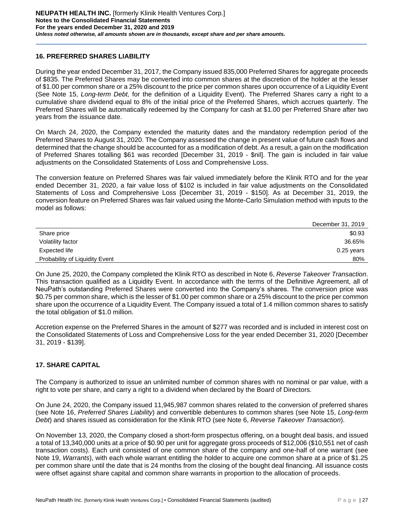### **16. PREFERRED SHARES LIABILITY**

During the year ended December 31, 2017, the Company issued 835,000 Preferred Shares for aggregate proceeds of \$835. The Preferred Shares may be converted into common shares at the discretion of the holder at the lesser of \$1.00 per common share or a 25% discount to the price per common shares upon occurrence of a Liquidity Event (See Note 15, *Long-term Debt,* for the definition of a Liquidity Event). The Preferred Shares carry a right to a cumulative share dividend equal to 8% of the initial price of the Preferred Shares, which accrues quarterly. The Preferred Shares will be automatically redeemed by the Company for cash at \$1.00 per Preferred Share after two years from the issuance date.

On March 24, 2020, the Company extended the maturity dates and the mandatory redemption period of the Preferred Shares to August 31, 2020. The Company assessed the change in present value of future cash flows and determined that the change should be accounted for as a modification of debt. As a result, a gain on the modification of Preferred Shares totalling \$61 was recorded [December 31, 2019 - \$nil]. The gain is included in fair value adjustments on the Consolidated Statements of Loss and Comprehensive Loss.

The conversion feature on Preferred Shares was fair valued immediately before the Klinik RTO and for the year ended December 31, 2020, a fair value loss of \$102 is included in fair value adjustments on the Consolidated Statements of Loss and Comprehensive Loss [December 31, 2019 - \$150]. As at December 31, 2019, the conversion feature on Preferred Shares was fair valued using the Monte-Carlo Simulation method with inputs to the model as follows:

|                                | December 31, 2019 |
|--------------------------------|-------------------|
| Share price                    | \$0.93            |
| Volatility factor              | 36.65%            |
| Expected life                  | $0.25$ years      |
| Probability of Liquidity Event | 80%               |

On June 25, 2020, the Company completed the Klinik RTO as described in Note 6, *Reverse Takeover Transaction*. This transaction qualified as a Liquidity Event. In accordance with the terms of the Definitive Agreement, all of NeuPath's outstanding Preferred Shares were converted into the Company's shares. The conversion price was \$0.75 per common share, which is the lesser of \$1.00 per common share or a 25% discount to the price per common share upon the occurrence of a Liquidity Event. The Company issued a total of 1.4 million common shares to satisfy the total obligation of \$1.0 million.

Accretion expense on the Preferred Shares in the amount of \$277 was recorded and is included in interest cost on the Consolidated Statements of Loss and Comprehensive Loss for the year ended December 31, 2020 [December 31, 2019 - \$139].

### **17. SHARE CAPITAL**

The Company is authorized to issue an unlimited number of common shares with no nominal or par value, with a right to vote per share, and carry a right to a dividend when declared by the Board of Directors.

On June 24, 2020, the Company issued 11,945,987 common shares related to the conversion of preferred shares (see Note 16, *Preferred Shares Liability*) and convertible debentures to common shares (see Note 15, *Long-term Debt*) and shares issued as consideration for the Klinik RTO (see Note 6, *Reverse Takeover Transaction*).

On November 13, 2020, the Company closed a short-form prospectus offering, on a bought deal basis, and issued a total of 13,340,000 units at a price of \$0.90 per unit for aggregate gross proceeds of \$12,006 (\$10,551 net of cash transaction costs). Each unit consisted of one common share of the company and one-half of one warrant (see Note 19, *Warrants*), with each whole warrant entitling the holder to acquire one common share at a price of \$1.25 per common share until the date that is 24 months from the closing of the bought deal financing. All issuance costs were offset against share capital and common share warrants in proportion to the allocation of proceeds.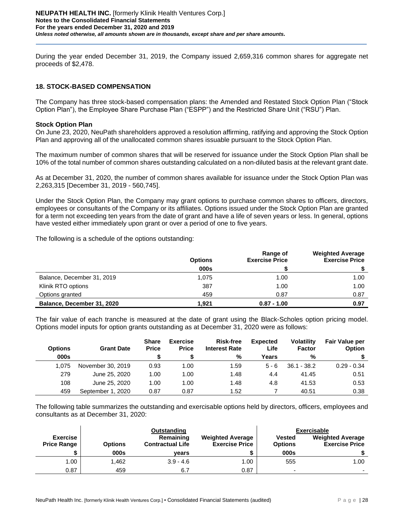During the year ended December 31, 2019, the Company issued 2,659,316 common shares for aggregate net proceeds of \$2,478.

### **18. STOCK-BASED COMPENSATION**

The Company has three stock-based compensation plans: the Amended and Restated Stock Option Plan ("Stock Option Plan"), the Employee Share Purchase Plan ("ESPP") and the Restricted Share Unit ("RSU") Plan.

### **Stock Option Plan**

On June 23, 2020, NeuPath shareholders approved a resolution affirming, ratifying and approving the Stock Option Plan and approving all of the unallocated common shares issuable pursuant to the Stock Option Plan.

The maximum number of common shares that will be reserved for issuance under the Stock Option Plan shall be 10% of the total number of common shares outstanding calculated on a non-diluted basis at the relevant grant date.

As at December 31, 2020, the number of common shares available for issuance under the Stock Option Plan was 2,263,315 [December 31, 2019 - 560,745].

Under the Stock Option Plan, the Company may grant options to purchase common shares to officers, directors, employees or consultants of the Company or its affiliates. Options issued under the Stock Option Plan are granted for a term not exceeding ten years from the date of grant and have a life of seven years or less. In general, options have vested either immediately upon grant or over a period of one to five years.

The following is a schedule of the options outstanding:

|                            | <b>Options</b> | Range of<br><b>Exercise Price</b> | <b>Weighted Average</b><br><b>Exercise Price</b> |
|----------------------------|----------------|-----------------------------------|--------------------------------------------------|
|                            | 000s           |                                   |                                                  |
| Balance, December 31, 2019 | 1,075          | 1.00                              | 1.00                                             |
| Klinik RTO options         | 387            | 1.00                              | 1.00                                             |
| Options granted            | 459            | 0.87                              | 0.87                                             |
| Balance, December 31, 2020 | 1.921          | $0.87 - 1.00$                     | 0.97                                             |

The fair value of each tranche is measured at the date of grant using the Black-Scholes option pricing model. Options model inputs for option grants outstanding as at December 31, 2020 were as follows:

| <b>Options</b> | <b>Grant Date</b> | <b>Share</b><br><b>Price</b> | <b>Exercise</b><br><b>Price</b> | <b>Risk-free</b><br><b>Interest Rate</b> | <b>Expected</b><br>Life | <b>Volatility</b><br>Factor | <b>Fair Value per</b><br><b>Option</b> |
|----------------|-------------------|------------------------------|---------------------------------|------------------------------------------|-------------------------|-----------------------------|----------------------------------------|
| 000s           |                   |                              |                                 | %                                        | Years                   | %                           |                                        |
| 1.075          | November 30, 2019 | 0.93                         | 1.00                            | 1.59                                     | $5 - 6$                 | $36.1 - 38.2$               | $0.29 - 0.34$                          |
| 279            | June 25, 2020     | 1.00                         | 1.00                            | 1.48                                     | 4.4                     | 41.45                       | 0.51                                   |
| 108            | June 25, 2020     | 1.00                         | 1.00                            | 1.48                                     | 4.8                     | 41.53                       | 0.53                                   |
| 459            | September 1, 2020 | 0.87                         | 0.87                            | 1.52                                     |                         | 40.51                       | 0.38                                   |

The following table summarizes the outstanding and exercisable options held by directors, officers, employees and consultants as at December 31, 2020:

|                                       |                | Outstanding                          |                                                  |                                 | Exercisable                                      |
|---------------------------------------|----------------|--------------------------------------|--------------------------------------------------|---------------------------------|--------------------------------------------------|
| <b>Exercise</b><br><b>Price Range</b> | <b>Options</b> | Remaining<br><b>Contractual Life</b> | <b>Weighted Average</b><br><b>Exercise Price</b> | <b>Vested</b><br><b>Options</b> | <b>Weighted Average</b><br><b>Exercise Price</b> |
|                                       | 000s           | vears                                |                                                  | 000s                            |                                                  |
| 1.00                                  | 1.462          | $3.9 - 4.6$                          | 1.00                                             | 555                             | 1.00                                             |
| 0.87                                  | 459            | 6.7                                  | 0.87                                             | $\overline{\phantom{0}}$        |                                                  |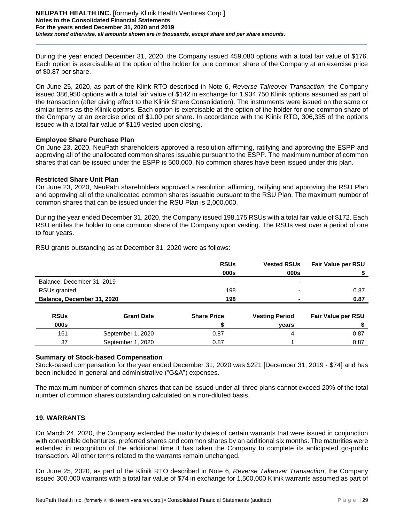During the year ended December 31, 2020, the Company issued 459,080 options with a total fair value of \$176. Each option is exercisable at the option of the holder for one common share of the Company at an exercise price of \$0.87 per share.

On June 25, 2020, as part of the Klink RTO described in Note 6, *Reverse Takeover Transaction*, the Company issued 386,950 options with a total fair value of \$142 in exchange for 1,934,750 Klinik options assumed as part of the transaction (after giving effect to the Klinik Share Consolidation). The instruments were issued on the same or similar terms as the Klinik options. Each option is exercisable at the option of the holder for one common share of the Company at an exercise price of \$1.00 per share. In accordance with the Klinik RTO, 306,335 of the options issued with a total fair value of \$119 vested upon closing.

### **Employee Share Purchase Plan**

On June 23, 2020, NeuPath shareholders approved a resolution affirming, ratifying and approving the ESPP and approving all of the unallocated common shares issuable pursuant to the ESPP. The maximum number of common shares that can be issued under the ESPP is 500,000. No common shares have been issued under this plan.

### **Restricted Share Unit Plan**

On June 23, 2020, NeuPath shareholders approved a resolution affirming, ratifying and approving the RSU Plan and approving all of the unallocated common shares issuable pursuant to the RSU Plan. The maximum number of common shares that can be issued under the RSU Plan is 2,000,000.

During the year ended December 31, 2020, the Company issued 198,175 RSUs with a total fair value of \$172. Each RSU entitles the holder to one common share of the Company upon vesting. The RSUs vest over a period of one to four years.

RSU grants outstanding as at December 31, 2020 were as follows:

|                            |                   | <b>RSUs</b>        | <b>Vested RSUs</b>    | Fair Value per RSU |
|----------------------------|-------------------|--------------------|-----------------------|--------------------|
|                            |                   | 000s               | 000s                  |                    |
| Balance, December 31, 2019 |                   |                    |                       |                    |
| RSUs granted               |                   | 198                |                       | 0.87               |
| Balance, December 31, 2020 |                   | 198                |                       | 0.87               |
|                            |                   |                    |                       |                    |
| <b>RSUs</b>                | <b>Grant Date</b> | <b>Share Price</b> | <b>Vesting Period</b> | Fair Value per RSU |
| 000s                       |                   |                    | vears                 |                    |
| 161                        | September 1, 2020 | 0.87               | 4                     | 0.87               |
| 37                         | September 1, 2020 | 0.87               |                       | 0.87               |

### **Summary of Stock-based Compensation**

Stock-based compensation for the year ended December 31, 2020 was \$221 [December 31, 2019 - \$74] and has been included in general and administrative ("G&A") expenses.

The maximum number of common shares that can be issued under all three plans cannot exceed 20% of the total number of common shares outstanding calculated on a non-diluted basis.

### **19. WARRANTS**

On March 24, 2020, the Company extended the maturity dates of certain warrants that were issued in conjunction with convertible debentures, preferred shares and common shares by an additional six months. The maturities were extended in recognition of the additional time it has taken the Company to complete its anticipated go-public transaction. All other terms related to the warrants remain unchanged.

On June 25, 2020, as part of the Klinik RTO described in Note 6, *Reverse Takeover Transaction*, the Company issued 300,000 warrants with a total fair value of \$74 in exchange for 1,500,000 Klinik warrants assumed as part of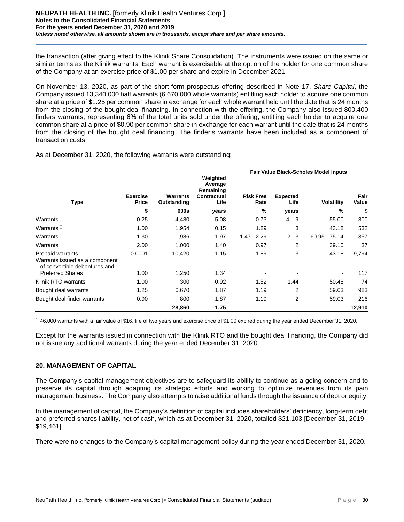the transaction (after giving effect to the Klinik Share Consolidation). The instruments were issued on the same or similar terms as the Klinik warrants. Each warrant is exercisable at the option of the holder for one common share of the Company at an exercise price of \$1.00 per share and expire in December 2021.

On November 13, 2020, as part of the short-form prospectus offering described in Note 17, *Share Capital*, the Company issued 13,340,000 half warrants (6,670,000 whole warrants) entitling each holder to acquire one common share at a price of \$1.25 per common share in exchange for each whole warrant held until the date that is 24 months from the closing of the bought deal financing. In connection with the offering, the Company also issued 800,400 finders warrants, representing 6% of the total units sold under the offering, entitling each holder to acquire one common share at a price of \$0.90 per common share in exchange for each warrant until the date that is 24 months from the closing of the bought deal financing. The finder's warrants have been included as a component of transaction costs.

As at December 31, 2020, the following warrants were outstanding:

|                                                                                     |                          |                                | <b>Fair Value Black-Scholes Model Inputs</b>            |                          |                         |                   |               |
|-------------------------------------------------------------------------------------|--------------------------|--------------------------------|---------------------------------------------------------|--------------------------|-------------------------|-------------------|---------------|
| <b>Type</b>                                                                         | <b>Exercise</b><br>Price | <b>Warrants</b><br>Outstanding | Weighted<br>Average<br>Remaining<br>Contractual<br>Life | <b>Risk Free</b><br>Rate | <b>Expected</b><br>Life | <b>Volatility</b> | Fair<br>Value |
|                                                                                     | \$                       | 000s                           | years                                                   | %                        | years                   | $\frac{9}{6}$     | \$            |
| Warrants                                                                            | 0.25                     | 4,480                          | 5.08                                                    | 0.73                     | $4 - 9$                 | 55.00             | 800           |
| Warrants <sup>(i)</sup>                                                             | 1.00                     | 1,954                          | 0.15                                                    | 1.89                     | 3                       | 43.18             | 532           |
| Warrants                                                                            | 1.30                     | 1,986                          | 1.97                                                    | $1.47 - 2.29$            | $2 - 3$                 | $60.95 - 75.14$   | 357           |
| Warrants                                                                            | 2.00                     | 1,000                          | 1.40                                                    | 0.97                     | 2                       | 39.10             | 37            |
| Prepaid warrants<br>Warrants issued as a component<br>of convertible debentures and | 0.0001                   | 10,420                         | 1.15                                                    | 1.89                     | 3                       | 43.18             | 9,794         |
| <b>Preferred Shares</b>                                                             | 1.00                     | 1,250                          | 1.34                                                    |                          |                         |                   | 117           |
| Klinik RTO warrants                                                                 | 1.00                     | 300                            | 0.92                                                    | 1.52                     | 1.44                    | 50.48             | 74            |
| Bought deal warrants                                                                | 1.25                     | 6,670                          | 1.87                                                    | 1.19                     | 2                       | 59.03             | 983           |
| Bought deal finder warrants                                                         | 0.90                     | 800                            | 1.87                                                    | 1.19                     | 2                       | 59.03             | 216           |
|                                                                                     |                          | 28,860                         | 1.75                                                    |                          |                         |                   | 12,910        |

 $^{(i)}$  46,000 warrants with a fair value of \$16, life of two years and exercise price of \$1.00 expired during the year ended December 31, 2020.

Except for the warrants issued in connection with the Klinik RTO and the bought deal financing, the Company did not issue any additional warrants during the year ended December 31, 2020.

### **20. MANAGEMENT OF CAPITAL**

The Company's capital management objectives are to safeguard its ability to continue as a going concern and to preserve its capital through adapting its strategic efforts and working to optimize revenues from its pain management business. The Company also attempts to raise additional funds through the issuance of debt or equity.

In the management of capital, the Company's definition of capital includes shareholders' deficiency, long-term debt and preferred shares liability, net of cash, which as at December 31, 2020, totalled \$21,103 [December 31, 2019 - \$19,461].

There were no changes to the Company's capital management policy during the year ended December 31, 2020.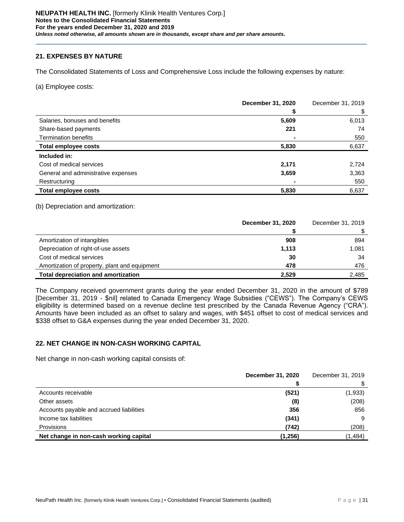### **21. EXPENSES BY NATURE**

The Consolidated Statements of Loss and Comprehensive Loss include the following expenses by nature:

(a) Employee costs:

|                                     | December 31, 2020 | December 31, 2019 |
|-------------------------------------|-------------------|-------------------|
|                                     |                   | \$                |
| Salaries, bonuses and benefits      | 5,609             | 6,013             |
| Share-based payments                | 221               | 74                |
| <b>Termination benefits</b>         | ۰                 | 550               |
| Total employee costs                | 5,830             | 6,637             |
| Included in:                        |                   |                   |
| Cost of medical services            | 2,171             | 2,724             |
| General and administrative expenses | 3,659             | 3,363             |
| Restructuring                       | ۰                 | 550               |
| <b>Total employee costs</b>         | 5,830             | 6,637             |

### (b) Depreciation and amortization:

|                                               | December 31, 2020 | December 31, 2019 |
|-----------------------------------------------|-------------------|-------------------|
|                                               |                   |                   |
| Amortization of intangibles                   | 908               | 894               |
| Depreciation of right-of-use assets           | 1,113             | 1.081             |
| Cost of medical services                      | 30                | 34                |
| Amortization of property, plant and equipment | 478               | 476               |
| <b>Total depreciation and amortization</b>    | 2.529             | 2.485             |

The Company received government grants during the year ended December 31, 2020 in the amount of \$789 [December 31, 2019 - \$nil] related to Canada Emergency Wage Subsidies ("CEWS"). The Company's CEWS eligibility is determined based on a revenue decline test prescribed by the Canada Revenue Agency ("CRA"). Amounts have been included as an offset to salary and wages, with \$451 offset to cost of medical services and \$338 offset to G&A expenses during the year ended December 31, 2020.

### **22. NET CHANGE IN NON-CASH WORKING CAPITAL**

Net change in non-cash working capital consists of:

|                                          | December 31, 2020 | December 31, 2019 |
|------------------------------------------|-------------------|-------------------|
|                                          |                   |                   |
| Accounts receivable                      | (521)             | (1,933)           |
| Other assets                             | (8)               | (208)             |
| Accounts payable and accrued liabilities | 356               | 856               |
| Income tax liabilities                   | (341)             | 9                 |
| <b>Provisions</b>                        | (742)             | (208)             |
| Net change in non-cash working capital   | (1,256)           | (1,484)           |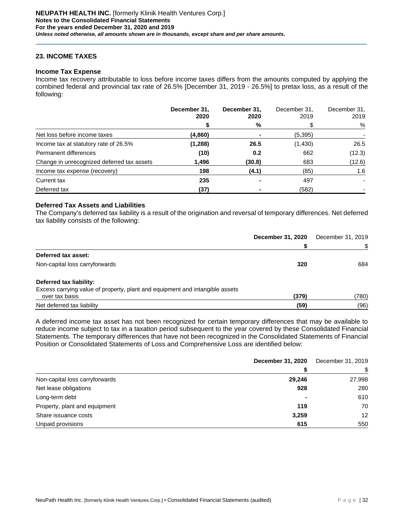### **23. INCOME TAXES**

### **Income Tax Expense**

Income tax recovery attributable to loss before income taxes differs from the amounts computed by applying the combined federal and provincial tax rate of 26.5% [December 31, 2019 - 26.5%] to pretax loss, as a result of the following:

|                                            | December 31,<br>2020 | December 31,<br>2020 | December 31,<br>2019 | December 31,<br>2019 |
|--------------------------------------------|----------------------|----------------------|----------------------|----------------------|
|                                            |                      | %                    |                      | %                    |
| Net loss before income taxes               | (4,860)              |                      | (5,395)              |                      |
| Income tax at statutory rate of 26.5%      | (1,288)              | 26.5                 | (1,430)              | 26.5                 |
| Permanent differences                      | (10)                 | 0.2                  | 662                  | (12.3)               |
| Change in unrecognized deferred tax assets | 1,496                | (30.8)               | 683                  | (12.6)               |
| Income tax expense (recovery)              | 198                  | (4.1)                | (85)                 | 1.6                  |
| Current tax                                | 235                  |                      | 497                  |                      |
| Deferred tax                               | (37)                 |                      | (582)                |                      |

### **Deferred Tax Assets and Liabilities**

The Company's deferred tax liability is a result of the origination and reversal of temporary differences. Net deferred tax liability consists of the following:

|                                                                              | December 31, 2020 | December 31, 2019 |  |
|------------------------------------------------------------------------------|-------------------|-------------------|--|
|                                                                              |                   | \$                |  |
| Deferred tax asset:                                                          |                   |                   |  |
| Non-capital loss carryforwards                                               | 320               | 684               |  |
| Deferred tax liability:                                                      |                   |                   |  |
| Excess carrying value of property, plant and equipment and intangible assets |                   |                   |  |
| over tax basis                                                               | (379)             | (780)             |  |
| Net deferred tax liability                                                   | (59)              | (96)              |  |

A deferred income tax asset has not been recognized for certain temporary differences that may be available to reduce income subject to tax in a taxation period subsequent to the year covered by these Consolidated Financial Statements. The temporary differences that have not been recognized in the Consolidated Statements of Financial Position or Consolidated Statements of Loss and Comprehensive Loss are identified below:

|                                | December 31, 2020        | December 31, 2019 |  |
|--------------------------------|--------------------------|-------------------|--|
|                                |                          | \$                |  |
| Non-capital loss carryforwards | 29,246                   | 27,998            |  |
| Net lease obligations          | 928                      | 280               |  |
| Long-term debt                 | $\overline{\phantom{a}}$ | 610               |  |
| Property, plant and equipment  | 119                      | 70                |  |
| Share issuance costs           | 3,259                    | 12                |  |
| Unpaid provisions              | 615                      | 550               |  |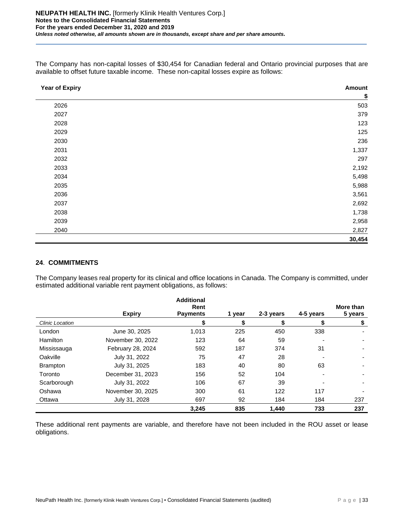The Company has non-capital losses of \$30,454 for Canadian federal and Ontario provincial purposes that are available to offset future taxable income. These non-capital losses expire as follows:

| <b>Year of Expiry</b> | Amount                  |
|-----------------------|-------------------------|
|                       | $\overline{\mathbf{3}}$ |
| 2026                  | 503                     |
| 2027                  | 379                     |
| 2028                  | 123                     |
| 2029                  | 125                     |
| 2030                  | 236                     |
| 2031                  | 1,337                   |
| 2032                  | 297                     |
| 2033                  | 2,192                   |
| 2034                  | 5,498                   |
| 2035                  | 5,988                   |
| 2036                  | 3,561                   |
| 2037                  | 2,692                   |
| 2038                  | 1,738                   |
| 2039                  | 2,958                   |
| 2040                  | 2,827                   |
|                       | 30,454                  |

### **24**. **COMMITMENTS**

The Company leases real property for its clinical and office locations in Canada. The Company is committed, under estimated additional variable rent payment obligations, as follows:

|                        |                   | <b>Additional</b><br>Rent |        |           |           | More than                |
|------------------------|-------------------|---------------------------|--------|-----------|-----------|--------------------------|
|                        | <b>Expiry</b>     | <b>Payments</b>           | 1 year | 2-3 years | 4-5 years | 5 years                  |
| <b>Clinic Location</b> |                   |                           | S      | \$        | S         | \$                       |
| London                 | June 30, 2025     | 1.013                     | 225    | 450       | 338       |                          |
| <b>Hamilton</b>        | November 30, 2022 | 123                       | 64     | 59        |           |                          |
| Mississauga            | February 28, 2024 | 592                       | 187    | 374       | 31        |                          |
| Oakville               | July 31, 2022     | 75                        | 47     | 28        |           | ٠                        |
| <b>Brampton</b>        | July 31, 2025     | 183                       | 40     | 80        | 63        |                          |
| Toronto                | December 31, 2023 | 156                       | 52     | 104       |           | $\overline{\phantom{0}}$ |
| Scarborough            | July 31, 2022     | 106                       | 67     | 39        |           | $\blacksquare$           |
| Oshawa                 | November 30, 2025 | 300                       | 61     | 122       | 117       |                          |
| Ottawa                 | July 31, 2028     | 697                       | 92     | 184       | 184       | 237                      |
|                        |                   | 3,245                     | 835    | 1.440     | 733       | 237                      |

These additional rent payments are variable, and therefore have not been included in the ROU asset or lease obligations.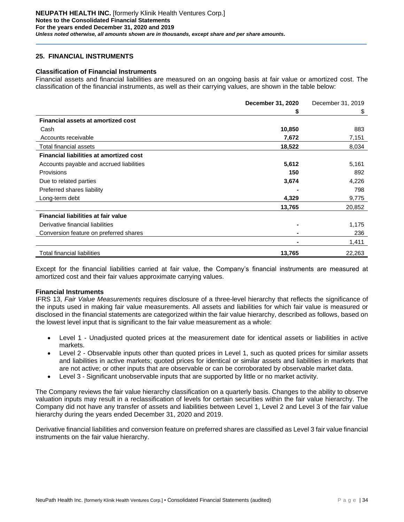### **25. FINANCIAL INSTRUMENTS**

### **Classification of Financial Instruments**

Financial assets and financial liabilities are measured on an ongoing basis at fair value or amortized cost. The classification of the financial instruments, as well as their carrying values, are shown in the table below:

|                                                | December 31, 2020 | December 31, 2019 |  |
|------------------------------------------------|-------------------|-------------------|--|
|                                                | \$                | \$                |  |
| Financial assets at amortized cost             |                   |                   |  |
| Cash                                           | 10,850            | 883               |  |
| Accounts receivable                            | 7,672             | 7,151             |  |
| Total financial assets                         | 18,522            | 8,034             |  |
| <b>Financial liabilities at amortized cost</b> |                   |                   |  |
| Accounts payable and accrued liabilities       | 5,612             | 5,161             |  |
| <b>Provisions</b>                              | 150               | 892               |  |
| Due to related parties                         | 3,674             | 4,226             |  |
| Preferred shares liability                     |                   | 798               |  |
| Long-term debt                                 | 4,329             | 9,775             |  |
|                                                | 13,765            | 20,852            |  |
| Financial liabilities at fair value            |                   |                   |  |
| Derivative financial liabilities               |                   | 1,175             |  |
| Conversion feature on preferred shares         |                   | 236               |  |
|                                                |                   | 1,411             |  |
| <b>Total financial liabilities</b>             | 13,765            | 22,263            |  |

Except for the financial liabilities carried at fair value, the Company's financial instruments are measured at amortized cost and their fair values approximate carrying values.

#### **Financial Instruments**

IFRS 13, *Fair Value Measurements* requires disclosure of a three-level hierarchy that reflects the significance of the inputs used in making fair value measurements. All assets and liabilities for which fair value is measured or disclosed in the financial statements are categorized within the fair value hierarchy, described as follows, based on the lowest level input that is significant to the fair value measurement as a whole:

- Level 1 Unadjusted quoted prices at the measurement date for identical assets or liabilities in active markets.
- Level 2 Observable inputs other than quoted prices in Level 1, such as quoted prices for similar assets and liabilities in active markets; quoted prices for identical or similar assets and liabilities in markets that are not active; or other inputs that are observable or can be corroborated by observable market data.
- Level 3 Significant unobservable inputs that are supported by little or no market activity.

The Company reviews the fair value hierarchy classification on a quarterly basis. Changes to the ability to observe valuation inputs may result in a reclassification of levels for certain securities within the fair value hierarchy. The Company did not have any transfer of assets and liabilities between Level 1, Level 2 and Level 3 of the fair value hierarchy during the years ended December 31, 2020 and 2019.

Derivative financial liabilities and conversion feature on preferred shares are classified as Level 3 fair value financial instruments on the fair value hierarchy.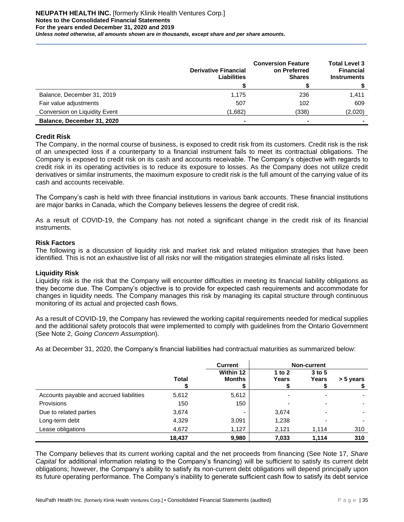|                               | <b>Derivative Financial</b><br><b>Liabilities</b> | <b>Conversion Feature</b><br>on Preferred<br><b>Shares</b> | <b>Total Level 3</b><br><b>Financial</b><br><b>Instruments</b> |
|-------------------------------|---------------------------------------------------|------------------------------------------------------------|----------------------------------------------------------------|
|                               |                                                   |                                                            |                                                                |
| Balance, December 31, 2019    | 1,175                                             | 236                                                        | 1,411                                                          |
| Fair value adjustments        | 507                                               | 102                                                        | 609                                                            |
| Conversion on Liquidity Event | (1,682)                                           | (338)                                                      | (2,020)                                                        |
| Balance, December 31, 2020    |                                                   | -                                                          |                                                                |

### **Credit Risk**

The Company, in the normal course of business, is exposed to credit risk from its customers. Credit risk is the risk of an unexpected loss if a counterparty to a financial instrument fails to meet its contractual obligations. The Company is exposed to credit risk on its cash and accounts receivable. The Company's objective with regards to credit risk in its operating activities is to reduce its exposure to losses. As the Company does not utilize credit derivatives or similar instruments, the maximum exposure to credit risk is the full amount of the carrying value of its cash and accounts receivable.

The Company's cash is held with three financial institutions in various bank accounts. These financial institutions are major banks in Canada, which the Company believes lessens the degree of credit risk.

As a result of COVID-19, the Company has not noted a significant change in the credit risk of its financial instruments.

### **Risk Factors**

The following is a discussion of liquidity risk and market risk and related mitigation strategies that have been identified. This is not an exhaustive list of all risks nor will the mitigation strategies eliminate all risks listed.

### **Liquidity Risk**

Liquidity risk is the risk that the Company will encounter difficulties in meeting its financial liability obligations as they become due. The Company's objective is to provide for expected cash requirements and accommodate for changes in liquidity needs. The Company manages this risk by managing its capital structure through continuous monitoring of its actual and projected cash flows.

As a result of COVID-19, the Company has reviewed the working capital requirements needed for medical supplies and the additional safety protocols that were implemented to comply with guidelines from the Ontario Government (See Note 2, *Going Concern Assumption*).

As at December 31, 2020, the Company's financial liabilities had contractual maturities as summarized below:

|                                          |              | <b>Current</b>             |                   | <b>Non-current</b>       |           |
|------------------------------------------|--------------|----------------------------|-------------------|--------------------------|-----------|
|                                          | <b>Total</b> | Within 12<br><b>Months</b> | 1 to $2$<br>Years | $3$ to 5<br>Years        | > 5 years |
| Accounts payable and accrued liabilities | 5,612        | 5,612                      |                   |                          |           |
| Provisions                               | 150          | 150                        |                   | $\overline{\phantom{0}}$ |           |
| Due to related parties                   | 3,674        |                            | 3,674             | $\overline{\phantom{0}}$ |           |
| Long-term debt                           | 4,329        | 3,091                      | 1,238             | $\overline{\phantom{0}}$ |           |
| Lease obligations                        | 4,672        | 1,127                      | 2,121             | 1,114                    | 310       |
|                                          | 18,437       | 9,980                      | 7,033             | 1,114                    | 310       |

The Company believes that its current working capital and the net proceeds from financing (See Note 17, *Share Capital* for additional information relating to the Company's financing) will be sufficient to satisfy its current debt obligations; however, the Company's ability to satisfy its non-current debt obligations will depend principally upon its future operating performance. The Company's inability to generate sufficient cash flow to satisfy its debt service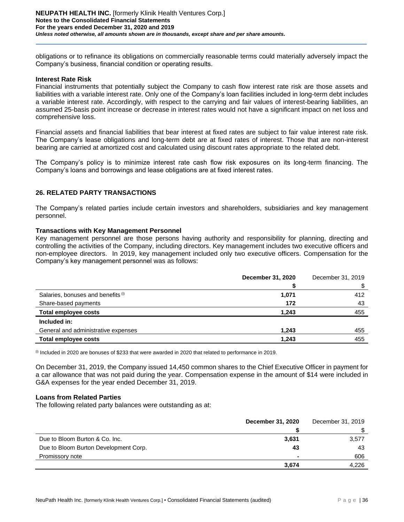obligations or to refinance its obligations on commercially reasonable terms could materially adversely impact the Company's business, financial condition or operating results.

#### **Interest Rate Risk**

Financial instruments that potentially subject the Company to cash flow interest rate risk are those assets and liabilities with a variable interest rate. Only one of the Company's loan facilities included in long-term debt includes a variable interest rate. Accordingly, with respect to the carrying and fair values of interest-bearing liabilities, an assumed 25-basis point increase or decrease in interest rates would not have a significant impact on net loss and comprehensive loss.

Financial assets and financial liabilities that bear interest at fixed rates are subject to fair value interest rate risk. The Company's lease obligations and long-term debt are at fixed rates of interest. Those that are non-interest bearing are carried at amortized cost and calculated using discount rates appropriate to the related debt.

The Company's policy is to minimize interest rate cash flow risk exposures on its long-term financing. The Company's loans and borrowings and lease obligations are at fixed interest rates.

### **26. RELATED PARTY TRANSACTIONS**

The Company's related parties include certain investors and shareholders, subsidiaries and key management personnel.

#### **Transactions with Key Management Personnel**

Key management personnel are those persons having authority and responsibility for planning, directing and controlling the activities of the Company, including directors. Key management includes two executive officers and non-employee directors. In 2019, key management included only two executive officers. Compensation for the Company's key management personnel was as follows:

|                                     | December 31, 2020 | December 31, 2019 |
|-------------------------------------|-------------------|-------------------|
|                                     |                   |                   |
| Salaries, bonuses and benefits (i)  | 1,071             | 412               |
| Share-based payments                | 172               | 43                |
| <b>Total employee costs</b>         | 1.243             | 455               |
| Included in:                        |                   |                   |
| General and administrative expenses | 1,243             | 455               |
| <b>Total employee costs</b>         | 1.243             | 455               |

 $^{(i)}$  Included in 2020 are bonuses of \$233 that were awarded in 2020 that related to performance in 2019.

On December 31, 2019, the Company issued 14,450 common shares to the Chief Executive Officer in payment for a car allowance that was not paid during the year. Compensation expense in the amount of \$14 were included in G&A expenses for the year ended December 31, 2019.

#### **Loans from Related Parties**

The following related party balances were outstanding as at:

|                                       | <b>December 31, 2020</b> |       |
|---------------------------------------|--------------------------|-------|
|                                       |                          |       |
| Due to Bloom Burton & Co. Inc.        | 3,631                    | 3,577 |
| Due to Bloom Burton Development Corp. | 43                       | 43    |
| Promissory note                       | -                        | 606   |
|                                       | 3.674                    | 4.226 |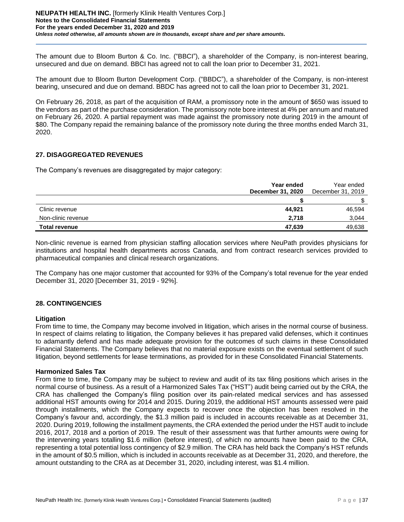The amount due to Bloom Burton & Co. Inc. ("BBCI"), a shareholder of the Company, is non-interest bearing, unsecured and due on demand. BBCI has agreed not to call the loan prior to December 31, 2021.

The amount due to Bloom Burton Development Corp. ("BBDC"), a shareholder of the Company, is non-interest bearing, unsecured and due on demand. BBDC has agreed not to call the loan prior to December 31, 2021.

On February 26, 2018, as part of the acquisition of RAM, a promissory note in the amount of \$650 was issued to the vendors as part of the purchase consideration. The promissory note bore interest at 4% per annum and matured on February 26, 2020. A partial repayment was made against the promissory note during 2019 in the amount of \$80. The Company repaid the remaining balance of the promissory note during the three months ended March 31, 2020.

### **27. DISAGGREGATED REVENUES**

The Company's revenues are disaggregated by major category:

|                      | Year ended<br>December 31, 2020 | Year ended<br>December 31, 2019 |
|----------------------|---------------------------------|---------------------------------|
|                      |                                 |                                 |
| Clinic revenue       | 44,921                          | 46,594                          |
| Non-clinic revenue   | 2.718                           | 3,044                           |
| <b>Total revenue</b> | 47,639                          | 49,638                          |

Non-clinic revenue is earned from physician staffing allocation services where NeuPath provides physicians for institutions and hospital health departments across Canada, and from contract research services provided to pharmaceutical companies and clinical research organizations.

The Company has one major customer that accounted for 93% of the Company's total revenue for the year ended December 31, 2020 [December 31, 2019 - 92%].

### **28. CONTINGENCIES**

#### **Litigation**

From time to time, the Company may become involved in litigation, which arises in the normal course of business. In respect of claims relating to litigation, the Company believes it has prepared valid defenses, which it continues to adamantly defend and has made adequate provision for the outcomes of such claims in these Consolidated Financial Statements. The Company believes that no material exposure exists on the eventual settlement of such litigation, beyond settlements for lease terminations, as provided for in these Consolidated Financial Statements.

#### **Harmonized Sales Tax**

From time to time, the Company may be subject to review and audit of its tax filing positions which arises in the normal course of business. As a result of a Harmonized Sales Tax ("HST") audit being carried out by the CRA, the CRA has challenged the Company's filing position over its pain-related medical services and has assessed additional HST amounts owing for 2014 and 2015. During 2019, the additional HST amounts assessed were paid through installments, which the Company expects to recover once the objection has been resolved in the Company's favour and, accordingly, the \$1.3 million paid is included in accounts receivable as at December 31, 2020. During 2019, following the installment payments, the CRA extended the period under the HST audit to include 2016, 2017, 2018 and a portion of 2019. The result of their assessment was that further amounts were owing for the intervening years totalling \$1.6 million (before interest), of which no amounts have been paid to the CRA, representing a total potential loss contingency of \$2.9 million. The CRA has held back the Company's HST refunds in the amount of \$0.5 million, which is included in accounts receivable as at December 31, 2020, and therefore, the amount outstanding to the CRA as at December 31, 2020, including interest, was \$1.4 million.